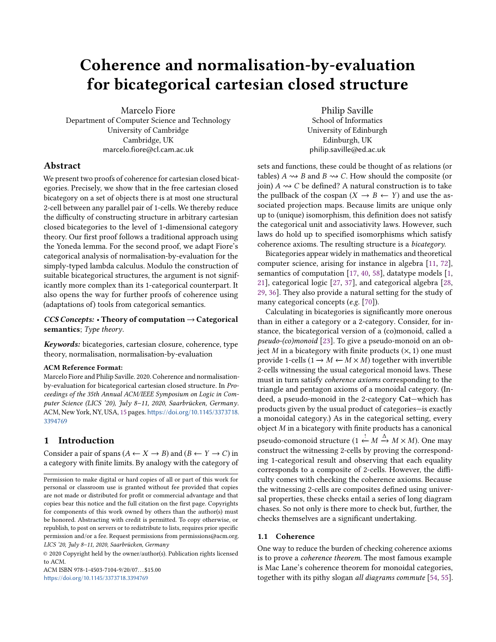# Coherence and normalisation-by-evaluation for bicategorical cartesian closed structure

Marcelo Fiore Department of Computer Science and Technology University of Cambridge Cambridge, UK marcelo.fiore@cl.cam.ac.uk

# Abstract

We present two proofs of coherence for cartesian closed bicategories. Precisely, we show that in the free cartesian closed bicategory on a set of objects there is at most one structural 2-cell between any parallel pair of 1-cells. We thereby reduce the difficulty of constructing structure in arbitrary cartesian closed bicategories to the level of 1-dimensional category theory. Our first proof follows a traditional approach using the Yoneda lemma. For the second proof, we adapt Fiore's categorical analysis of normalisation-by-evaluation for the simply-typed lambda calculus. Modulo the construction of suitable bicategorical structures, the argument is not significantly more complex than its 1-categorical counterpart. It also opens the way for further proofs of coherence using (adaptations of) tools from categorical semantics.

## $CCS$  Concepts: • Theory of computation  $\rightarrow$  Categorical semantics; Type theory.

Keywords: bicategories, cartesian closure, coherence, type theory, normalisation, normalisation-by-evaluation

## ACM Reference Format:

Marcelo Fiore and Philip Saville. 2020. Coherence and normalisationby-evaluation for bicategorical cartesian closed structure. In Proceedings of the 35th Annual ACM/IEEE Symposium on Logic in Computer Science (LICS '20), July 8–11, 2020, Saarbrücken, Germany. ACM, New York, NY, USA, [15](#page-14-0) pages. [https://doi.org/10.1145/3373718.](https://doi.org/10.1145/3373718.3394769) [3394769](https://doi.org/10.1145/3373718.3394769)

# 1 Introduction

Consider a pair of spans  $(A \leftarrow X \rightarrow B)$  and  $(B \leftarrow Y \rightarrow C)$  in a category with finite limits. By analogy with the category of

Permission to make digital or hard copies of all or part of this work for personal or classroom use is granted without fee provided that copies are not made or distributed for profit or commercial advantage and that copies bear this notice and the full citation on the first page. Copyrights for components of this work owned by others than the author(s) must be honored. Abstracting with credit is permitted. To copy otherwise, or republish, to post on servers or to redistribute to lists, requires prior specific permission and/or a fee. Request permissions from permissions@acm.org. LICS '20, July 8–11, 2020, Saarbrücken, Germany

© 2020 Copyright held by the owner/author(s). Publication rights licensed to ACM.

ACM ISBN 978-1-4503-7104-9/20/07... \$15.00 <https://doi.org/10.1145/3373718.3394769>

Philip Saville School of Informatics University of Edinburgh Edinburgh, UK philip.saville@ed.ac.uk

sets and functions, these could be thought of as relations (or tables)  $A \rightsquigarrow B$  and  $B \rightsquigarrow C$ . How should the composite (or join)  $A \rightarrow C$  be defined? A natural construction is to take the pullback of the cospan  $(X \rightarrow B \leftarrow Y)$  and use the associated projection maps. Because limits are unique only up to (unique) isomorphism, this definition does not satisfy the categorical unit and associativity laws. However, such laws do hold up to specified isomorphisms which satisfy coherence axioms. The resulting structure is a bicategory.

Bicategories appear widely in mathematics and theoretical computer science, arising for instance in algebra [\[11,](#page-13-0) [72\]](#page-14-1), semantics of computation [\[17,](#page-13-1) [40,](#page-14-2) [58\]](#page-14-3), datatype models [\[1,](#page-13-2) [21\]](#page-13-3), categorical logic [\[27,](#page-13-4) [37\]](#page-14-4), and categorical algebra [\[28,](#page-13-5) [29,](#page-13-6) [36\]](#page-14-5). They also provide a natural setting for the study of many categorical concepts (e.g. [\[70\]](#page-14-6)).

Calculating in bicategories is significantly more onerous than in either a category or a 2-category. Consider, for instance, the bicategorical version of a (co)monoid, called a pseudo-(co)monoid [\[23\]](#page-13-7). To give a pseudo-monoid on an object M in a bicategory with finite products  $(x, 1)$  one must provide 1-cells ( $1 \rightarrow M \leftarrow M \times M$ ) together with invertible 2-cells witnessing the usual categorical monoid laws. These must in turn satisfy coherence axioms corresponding to the triangle and pentagon axioms of a monoidal category. (Indeed, a pseudo-monoid in the 2-category Cat—which has products given by the usual product of categories—is exactly a monoidal category.) As in the categorical setting, every object  $M$  in a bicategory with finite products has a canonical pseudo-comonoid structure  $(1 \stackrel{!}{\leftarrow} M \stackrel{\Delta}{\rightarrow} M \times M)$ . One may construct the witnessing 2-cells by proving the correspondconstruct the witnessing 2-cells by proving the corresponding 1-categorical result and observing that each equality corresponds to a composite of 2-cells. However, the difficulty comes with checking the coherence axioms. Because the witnessing 2-cells are composites defined using universal properties, these checks entail a series of long diagram chases. So not only is there more to check but, further, the checks themselves are a significant undertaking.

## <span id="page-0-0"></span>1.1 Coherence

One way to reduce the burden of checking coherence axioms is to prove a coherence theorem. The most famous example is Mac Lane's coherence theorem for monoidal categories, together with its pithy slogan all diagrams commute [\[54,](#page-14-7) [55\]](#page-14-8).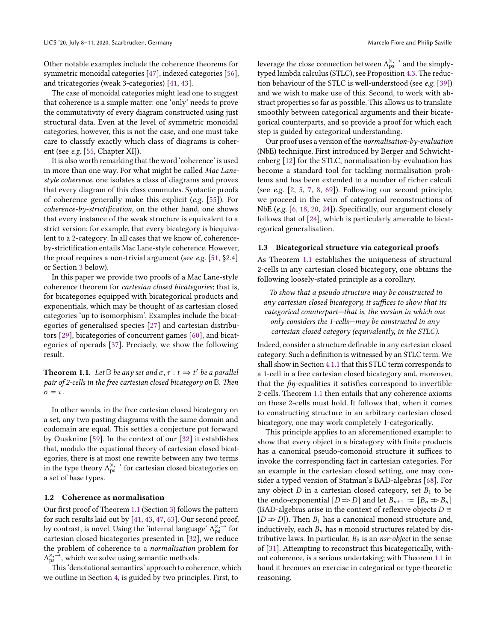Other notable examples include the coherence theorems for symmetric monoidal categories [\[47\]](#page-14-9), indexed categories [\[56\]](#page-14-10), and tricategories (weak 3-categories) [\[41,](#page-14-11) [43\]](#page-14-12).

The case of monoidal categories might lead one to suggest that coherence is a simple matter: one 'only' needs to prove the commutativity of every diagram constructed using just structural data. Even at the level of symmetric monoidal categories, however, this is not the case, and one must take care to classify exactly which class of diagrams is coherent (see e.g. [\[55,](#page-14-8) Chapter XI]).

It is also worth remarking that the word 'coherence' is used in more than one way. For what might be called Mac Lanestyle coherence, one isolates a class of diagrams and proves that every diagram of this class commutes. Syntactic proofs of coherence generally make this explicit (e.g. [\[55\]](#page-14-8)). For coherence-by-strictification, on the other hand, one shows that every instance of the weak structure is equivalent to a strict version: for example, that every bicategory is biequivalent to a 2-category. In all cases that we know of, coherenceby-strictification entails Mac Lane-style coherence. However, the proof requires a non-trivial argument (see e.g. [\[51,](#page-14-13) §2.4] or Section [3](#page-4-0) below).

In this paper we provide two proofs of a Mac Lane-style coherence theorem for cartesian closed bicategories; that is, for bicategories equipped with bicategorical products and exponentials, which may be thought of as cartesian closed categories 'up to isomorphism'. Examples include the bicategories of generalised species [\[27\]](#page-13-4) and cartesian distributors [\[29\]](#page-13-6), bicategories of concurrent games [\[60\]](#page-14-14), and bicategories of operads [\[37\]](#page-14-4). Precisely, we show the following result.

<span id="page-1-0"></span>**Theorem 1.1.** Let  $\mathbb{B}$  be any set and  $\sigma$ ,  $\tau$  :  $t \Rightarrow t'$  be a parallel<br>pair of 2-cells in the free cartesian closed bicategory on  $\mathbb{R}$ . Then pair of 2-cells in the free cartesian closed bicategory on **B**. Then  $\sigma = \tau$ .

In other words, in the free cartesian closed bicategory on a set, any two pasting diagrams with the same domain and codomain are equal. This settles a conjecture put forward by Ouaknine [\[59\]](#page-14-15). In the context of our [\[32\]](#page-13-8) it establishes that, modulo the equational theory of cartesian closed bicategories, there is at most one rewrite between any two terms in the type theory  $\Lambda_{ps}^{\times, \rightarrow}$  for cartesian closed bicategories on a set of base types.

#### <span id="page-1-1"></span>1.2 Coherence as normalisation

Our first proof of Theorem [1.1](#page-1-0) (Section [3\)](#page-4-0) follows the pattern for such results laid out by [\[41,](#page-14-11) [43,](#page-14-12) [47,](#page-14-9) [63\]](#page-14-16). Our second proof, by contrast, is novel. Using the 'internal language'  $\Lambda_{ps}^{\times, -}$  for cartesian closed bicategories presented in [32], we reduce cartesian closed bicategories presented in [\[32\]](#page-13-8), we reduce the problem of coherence to a normalisation problem for  $\Lambda_{\text{ps}}^{\times, \rightarrow}$ , which we solve using semantic methods.<br>This 'denotational semantics' approach to cohe

This 'denotational semantics' approach to coherence, which we outline in Section [4,](#page-5-0) is guided by two principles. First, to

leverage the close connection between  $\Delta_{\rm ps}^{\times, \rightarrow}$  and the simply-<br>typed lambda calculus (STI C), see Proposition 4.3. The reductyped lambda calculus (STLC), see Proposition [4.3.](#page-6-0) The reduction behaviour of the STLC is well-understood (see e.g. [\[39\]](#page-14-17)) and we wish to make use of this. Second, to work with abstract properties so far as possible. This allows us to translate smoothly between categorical arguments and their bicategorical counterparts, and so provide a proof for which each step is guided by categorical understanding.

Our proof uses a version of the normalisation-by-evaluation (NbE) technique. First introduced by Berger and Schwichtenberg [\[12\]](#page-13-9) for the STLC, normalisation-by-evaluation has become a standard tool for tackling normalisation problems and has been extended to a number of richer calculi (see e.g.  $[2, 5, 7, 8, 69]$  $[2, 5, 7, 8, 69]$  $[2, 5, 7, 8, 69]$  $[2, 5, 7, 8, 69]$  $[2, 5, 7, 8, 69]$  $[2, 5, 7, 8, 69]$  $[2, 5, 7, 8, 69]$  $[2, 5, 7, 8, 69]$  $[2, 5, 7, 8, 69]$ ). Following our second principle, we proceed in the vein of categorical reconstructions of NbE (e.g. [\[6,](#page-13-14) [18,](#page-13-15) [20,](#page-13-16) [24\]](#page-13-17)). Specifically, our argument closely follows that of [\[24\]](#page-13-17), which is particularly amenable to bicategorical generalisation.

### 1.3 Bicategorical structure via categorical proofs

As Theorem [1.1](#page-1-0) establishes the uniqueness of structural 2-cells in any cartesian closed bicategory, one obtains the following loosely-stated principle as a corollary.

To show that a pseudo structure may be constructed in any cartesian closed bicategory, it suffices to show that its categorical counterpart—that is, the version in which one only considers the 1-cells—may be constructed in any cartesian closed category (equivalently, in the STLC).

Indeed, consider a structure definable in any cartesian closed category. Such a definition is witnessed by an STLC term. We shall show in Section [4.1.1](#page-6-1) that this STLC term corresponds to a 1-cell in a free cartesian closed bicategory and, moreover, that the  $\beta$ *η*-equalities it satisfies correspond to invertible 2-cells. Theorem [1.1](#page-1-0) then entails that any coherence axioms on these 2-cells must hold. It follows that, when it comes to constructing structure in an arbitrary cartesian closed bicategory, one may work completely 1-categorically.

This principle applies to an aforementioned example: to show that every object in a bicategory with finite products has a canonical pseudo-comonoid structure it suffices to invoke the corresponding fact in cartesian categories. For an example in the cartesian closed setting, one may consider a typed version of Statman's BAD-algebras [\[68\]](#page-14-19). For any object  $D$  in a cartesian closed category, set  $B_1$  to be the endo-exponential  $[D \Rightarrow D]$  and let  $B_{n+1} := [B_n \Rightarrow B_n]$ (BAD-algebras arise in the context of reflexive objects  $D \cong$  $[D \Rightarrow D]$ ). Then  $B_1$  has a canonical monoid structure and, inductively, each  $B_n$  has n monoid structures related by distributive laws. In particular,  $B_2$  is an *nsr-object* in the sense of [\[31\]](#page-13-18). Attempting to reconstruct this bicategorically, without coherence, is a serious undertaking; with Theorem [1.1](#page-1-0) in hand it becomes an exercise in categorical or type-theoretic reasoning.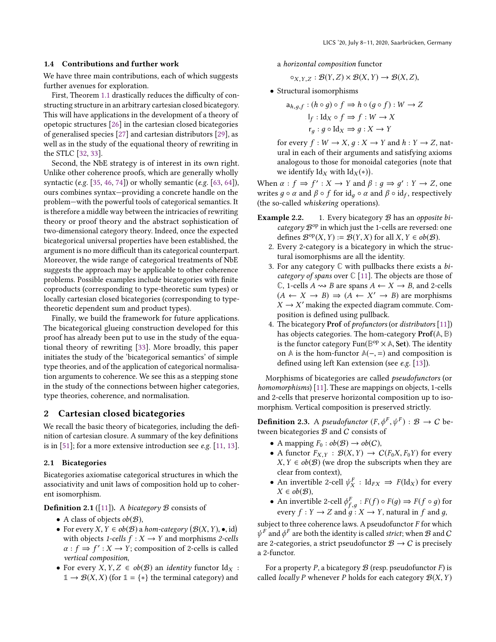## 1.4 Contributions and further work

We have three main contributions, each of which suggests further avenues for exploration.

First, Theorem [1.1](#page-1-0) drastically reduces the difficulty of constructing structure in an arbitrary cartesian closed bicategory. This will have applications in the development of a theory of opetopic structures [\[26\]](#page-13-19) in the cartesian closed bicategories of generalised species [\[27\]](#page-13-4) and cartesian distributors [\[29\]](#page-13-6), as well as in the study of the equational theory of rewriting in the STLC [\[32,](#page-13-8) [33\]](#page-13-20).

Second, the NbE strategy is of interest in its own right. Unlike other coherence proofs, which are generally wholly syntactic (e.g. [\[35,](#page-14-20) [46,](#page-14-21) [74\]](#page-14-22)) or wholly semantic (e.g. [\[63,](#page-14-16) [64\]](#page-14-23)), ours combines syntax—providing a concrete handle on the problem—with the powerful tools of categorical semantics. It is therefore a middle way between the intricacies of rewriting theory or proof theory and the abstract sophistication of two-dimensional category theory. Indeed, once the expected bicategorical universal properties have been established, the argument is no more difficult than its categorical counterpart. Moreover, the wide range of categorical treatments of NbE suggests the approach may be applicable to other coherence problems. Possible examples include bicategories with finite coproducts (corresponding to type-theoretic sum types) or locally cartesian closed bicategories (corresponding to typetheoretic dependent sum and product types).

Finally, we build the framework for future applications. The bicategorical glueing construction developed for this proof has already been put to use in the study of the equational theory of rewriting [\[33\]](#page-13-20). More broadly, this paper initiates the study of the 'bicategorical semantics' of simple type theories, and of the application of categorical normalisation arguments to coherence. We see this as a stepping stone in the study of the connections between higher categories, type theories, coherence, and normalisation.

# 2 Cartesian closed bicategories

We recall the basic theory of bicategories, including the definition of cartesian closure. A summary of the key definitions is in [\[51\]](#page-14-13); for a more extensive introduction see e.g. [\[11,](#page-13-0) [13\]](#page-13-21).

## 2.1 Bicategories

Bicategories axiomatise categorical structures in which the associativity and unit laws of composition hold up to coherent isomorphism.

**Definition 2.1** ([\[11\]](#page-13-0)). A bicategory  $\mathcal{B}$  consists of

- A class of objects  $ob(B)$ ,
- For every  $X, Y \in ob(B)$  a hom-category  $(B(X, Y), \bullet, id)$ <br>with objects 1-cells  $f : X \to Y$  and morphisms 2-cells with objects 1-cells  $f : X \rightarrow Y$  and morphisms 2-cells  $\alpha$ :  $f \Rightarrow f' : X \rightarrow Y$ ; composition of 2-cells is called vertical composition vertical composition,
- For every  $X, Y, Z \in ob(B)$  an *identity* functor Id<sub>X</sub>:  $\mathbb{1} \to \mathcal{B}(X,X)$  (for  $\mathbb{1} = \{*\}$  the terminal category) and
- a horizontal composition functor
	- $\circ_{X,Y,Z} : \mathcal{B}(Y,Z) \times \mathcal{B}(X,Y) \to \mathcal{B}(X,Z),$
- Structural isomorphisms

$$
a_{h,g,f} : (h \circ g) \circ f \Rightarrow h \circ (g \circ f) : W \to Z
$$

$$
I_f : Id_X \circ f \Rightarrow f : W \to X
$$

$$
r_g : g \circ Id_X \Rightarrow g : X \to Y
$$

for every  $f: W \to X$ ,  $q: X \to Y$  and  $h: Y \to Z$ , natural in each of their arguments and satisfying axioms analogous to those for monoidal categories (note that we identify  $\text{Id}_X$  with  $\text{Id}_X(*)$ .

When  $\alpha : f \Rightarrow f' : X \rightarrow Y$  and  $\beta : g \Rightarrow g' : Y \rightarrow Z$ , one<br>writes  $a \circ g$  and  $\beta \circ f$  for id  $a \circ g$  and  $\beta \circ g$  ide respectively writes  $g \circ \alpha$  and  $\beta \circ f$  for  $\text{id}_g \circ \alpha$  and  $\beta \circ \text{id}_f$ , respectively<br>(the so-called whiskering operations) (the so-called whiskering operations).

- **Example 2.2.** 1. Every bicategory  $B$  has an opposite bicategory  $\mathcal{B}^{\text{op}}$  in which just the 1-cells are reversed: one defines  $\mathcal{B}^{op}(X, Y) := \mathcal{B}(Y, X)$  for all  $X, Y \in ob(\mathcal{B})$ .<br>Every 2-category is a bicategory in which the st
	- 2. Every 2-category is a bicategory in which the structural isomorphisms are all the identity.
	- 3. For any category **C** with pullbacks there exists a bicategory of spans over **C** [\[11\]](#page-13-0). The objects are those of  $\mathbb{C}$ , 1-cells  $A \rightsquigarrow B$  are spans  $A \leftarrow X \rightarrow B$ , and 2-cells  $(A \leftarrow X \rightarrow B) \Rightarrow (A \leftarrow X' \rightarrow B)$  are morphisms  $X \rightarrow Y'$  making the expected diagram commute Com- $X \rightarrow X'$  making the expected diagram commute. Com-<br>position is defined using pullback position is defined using pullback.
	- 4. The bicategory Prof of profunctors (or distributors [\[11\]](#page-13-0)) has objects categories. The hom-category Prof(**A**, **<sup>B</sup>**) is the functor category  $\text{Fun}(\mathbb{B}^{op} \times \mathbb{A}, \text{Set})$ . The identity<br>on  $\mathbb{A}$  is the hom-functor  $\mathbb{A}(-)$  and composition is on  $\mathbb A$  is the hom-functor  $\mathbb A$ (−, =) and composition is defined using left Kan extension (see e.g. [\[13\]](#page-13-21)).

Morphisms of bicategories are called pseudofunctors (or homomorphisms) [\[11\]](#page-13-0). These are mappings on objects, 1-cells and 2-cells that preserve horizontal composition up to isomorphism. Vertical composition is preserved strictly.

**Definition 2.3.** A *pseudofunctor*  $(F, \phi^F, \psi^F) : \mathcal{B} \to C$  be-<br>tween bicategories B and C consists of tween bicategories  $B$  and  $C$  consists of

- A mapping  $F_0 : ob(\mathcal{B}) \to ob(\mathcal{C})$ ,
- A functor  $F_{X,Y} : \mathcal{B}(X,Y) \to C(F_0X, F_0Y)$  for every  $X, Y \in ob(B)$  (we drop the subscripts when they are clear from context),
- An invertible 2-cell  $\psi_X^F$ : Id<sub>FX</sub>  $\Rightarrow$   $F(\text{Id}_X)$  for every  $X \in ob(\mathcal{B}),$
- An invertible 2-cell  $\phi_{f,g}^F : F(f) \circ F(g) \Rightarrow F(f \circ g)$  for every  $f : V \to Z$  and  $g : Y \to Y$  natural in f and g every  $f: Y \to Z$  and  $g: X \to Y$ , natural in f and g,

subject to three coherence laws. A pseudofunctor  $F$  for which are 2-categories, a strict pseudofunctor  $B \rightarrow C$  is precisely F and  $\phi^F$  are both the identity is called *strict*; when B and C<br>ce 2-categories, a strict pseudofunctor  $\mathcal{B} \to C$  is precisely a 2-functor.

For a property P, a bicategory  $\mathcal B$  (resp. pseudofunctor F) is called *locally P* whenever P holds for each category  $\mathcal{B}(X, Y)$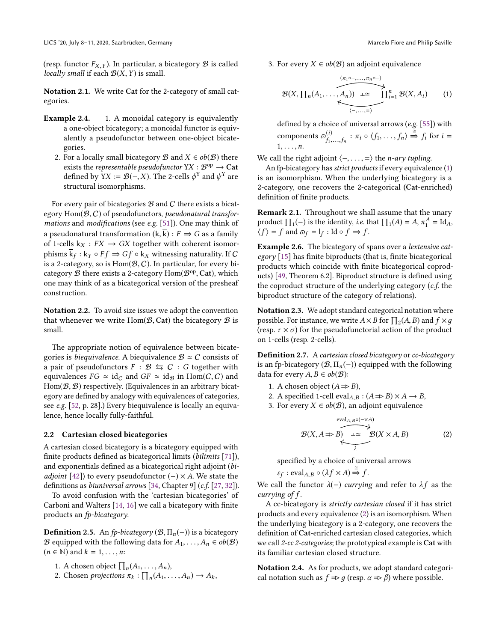(resp. functor  $F_{X,Y}$ ). In particular, a bicategory  $\mathcal{B}$  is called locally small if each  $\mathcal{B}(X, Y)$  is small.

Notation 2.1. We write Cat for the 2-category of small categories.

- **Example 2.4.** 1. A monoidal category is equivalently a one-object bicategory; a monoidal functor is equivalently a pseudofunctor between one-object bicategories.
	- 2. For a locally small bicategory B and  $X \in ob(B)$  there exists the *representable pseudofunctor*  $YX : B^{op} \to \mathbf{Cat}$ <br>defined by  $YX := \mathcal{B}(-X)$ . The 2-cells  $\phi^Y$  and  $\psi^Y$  are defined by  $YX := \mathcal{B}(-, X)$ . The 2-cells  $\phi^Y$  and  $\psi^Y$  are structural isomorphisms structural isomorphisms.

For every pair of bicategories  $B$  and  $C$  there exists a bicategory  $Hom(B, C)$  of pseudofunctors, *pseudonatural transfor*mations and modifications (see e.g. [\[51\]](#page-14-13)). One may think of a pseudonatural transformation  $(k, \overline{k}) : F \Rightarrow G$  as a family of 1-cells  $k_X : FX \rightarrow GX$  together with coherent isomorphisms  $k_f : k_Y \circ Ff \Rightarrow Gf \circ k_X$  witnessing naturality. If C<br>is a 2-category, so is Hom(B, C). In particular, for every biis a 2-category, so is  $Hom(B, C)$ . In particular, for every bicategory  $\mathcal B$  there exists a 2-category  $\text{Hom}(\mathcal B^{\text{op}}, \text{Cat})$ , which<br>one may think of as a bicategorical version of the presheaf one may think of as a bicategorical version of the presheaf construction.

Notation 2.2. To avoid size issues we adopt the convention that whenever we write  $Hom(B, Cat)$  the bicategory  $B$  is small.

The appropriate notion of equivalence between bicategories is *biequivalence*. A biequivalence  $\mathcal{B} \simeq C$  consists of a pair of pseudofunctors  $F : \mathcal{B} \leftrightarrows C : G$  together with equivalences  $FG \simeq id_C$  and  $GF \simeq id_B$  in Hom(C, C) and  $Hom(\mathcal{B}, \mathcal{B})$  respectively. (Equivalences in an arbitrary bicategory are defined by analogy with equivalences of categories, see e.g. [\[52,](#page-14-24) p. 28].) Every biequivalence is locally an equivalence, hence locally fully-faithful.

# 2.2 Cartesian closed bicategories

A cartesian closed bicategory is a bicategory equipped with finite products defined as bicategorical limits (bilimits [\[71\]](#page-14-25)), and exponentials defined as a bicategorical right adjoint (bi*adjoint* [\[42\]](#page-14-26)) to every pseudofunctor  $(-) \times A$ . We state the definitions as biuniversal arrows [\[34,](#page-13-22) Chapter 9] (c.f. [\[27,](#page-13-4) [32\]](#page-13-8)).

To avoid confusion with the 'cartesian bicategories' of Carboni and Walters [\[14,](#page-13-23) [16\]](#page-13-24) we call a bicategory with finite products an fp-bicategory.

**Definition 2.5.** An fp-bicategory  $(\mathcal{B}, \Pi_n(-))$  is a bicategory *B* equipped with the following data for  $A_1, \ldots, A_n \in ob(B)$  $(n \in \mathbb{N})$  and  $k = 1, \ldots, n$ :

- 1. A chosen object  $\prod_n(A_1,\ldots,A_n)$ ,<br>2. Chosen projections  $\pi_i : \Pi_i(A)$
- 2. Chosen projections  $\pi_k : \prod_n (A_1, \ldots, A_n) \to A_k$ ,

3. For every  $X \in ob(B)$  an adjoint equivalence

<span id="page-3-0"></span>
$$
\mathcal{B}(X, \prod_{n}(A_1, \ldots, A_n)) \xrightarrow{(\pi_1 \circ \ldots, \pi_n \circ \neg)} \prod_{i=1}^n \mathcal{B}(X, A_i)
$$
 (1)

defined by a choice of universal arrows (e.g. [\[55\]](#page-14-8)) with components  $\varpi_{f_1, n}^{(i)}$  $f_1^{(i)}$ ,  $f_n$  :  $\pi_i \circ \langle f_1, \ldots, f_n \rangle \stackrel{\cong}{\Rightarrow} f_i$  for  $i =$  $1, \ldots, n.$ 

We call the right adjoint  $\langle -, \ldots, = \rangle$  the *n-ary tupling*.

An fp-bicategory has strict products if every equivalence [\(1\)](#page-3-0) is an isomorphism. When the underlying bicategory is a 2-category, one recovers the 2-categorical (Cat-enriched) definition of finite products.

Remark 2.1. Throughout we shall assume that the unary product  $\prod_1(-)$  is the identity, *i.e.* that  $\prod_1(A) = A$ ,  $\pi_1^A = \text{Id}_A$ ,<br>  $\pi_1^A = \text{Id}_A$ ,  $\pi_2^A = \text{Id}_A$  $\langle f \rangle = f$  and  $\varpi_f = I_f : \text{Id} \circ f \Rightarrow f$ .

Example 2.6. The bicategory of spans over a lextensive category [\[15\]](#page-13-25) has finite biproducts (that is, finite bicategorical products which coincide with finite bicategorical coproducts) [\[49,](#page-14-27) Theorem 6.2]. Biproduct structure is defined using the coproduct structure of the underlying category (c.f. the biproduct structure of the category of relations).

Notation 2.3. We adopt standard categorical notation where possible. For instance, we write  $A \times B$  for  $\prod_2(A, B)$  and  $f \times g$ <br>(resp.  $\tau \times \sigma$ ) for the pseudofunctorial action of the product (resp.  $\tau \times \sigma$ ) for the pseudofunctorial action of the product on 1-cells (resp. 2-cells).

**Definition 2.7.** A cartesian closed bicategory or  $cc$ -bicategory is an fp-bicategory  $(\mathcal{B}, \Pi_n(-))$  equipped with the following data for every  $A, B \in ob(\mathcal{B})$ :

- 1. A chosen object  $(A \Rightarrow B)$ ,
- 2. A specified 1-cell eval<sub>A,B</sub> :  $(A \Rightarrow B) \times A \rightarrow B$ ,
- 3. For every  $X \in ob(B)$ , an adjoint equivalence

<span id="page-3-1"></span>
$$
\mathcal{B}(X, A \Rightarrow B) \xrightarrow{\text{eval}_{A,B}\circ(-\times A)} \mathcal{B}(X \times A, B) \tag{2}
$$

specified by a choice of universal arrows

$$
\varepsilon_f : \text{eval}_{A,B} \circ (\lambda f \times A) \stackrel{\cong}{\Rightarrow} f.
$$

We call the functor  $\lambda(-)$  currying and refer to  $\lambda f$  as the currying of f currying of f.

A cc-bicategory is strictly cartesian closed if it has strict products and every equivalence [\(2\)](#page-3-1) is an isomorphism. When the underlying bicategory is a 2-category, one recovers the definition of Cat-enriched cartesian closed categories, which we call 2-cc 2-categories; the prototypical example is Cat with its familiar cartesian closed structure.

Notation 2.4. As for products, we adopt standard categorical notation such as  $f \Rightarrow q$  (resp.  $\alpha \Rightarrow \beta$ ) where possible.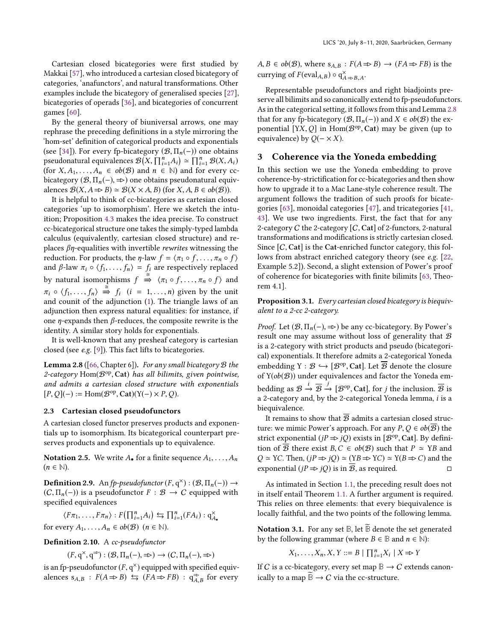Cartesian closed bicategories were first studied by Makkai [\[57\]](#page-14-28), who introduced a cartesian closed bicategory of categories, 'anafunctors', and natural transformations. Other examples include the bicategory of generalised species [\[27\]](#page-13-4), bicategories of operads [\[36\]](#page-14-5), and bicategories of concurrent games [\[60\]](#page-14-14).

By the general theory of biuniversal arrows, one may rephrase the preceding definitions in a style mirroring the 'hom-set' definition of categorical products and exponentials (see [\[34\]](#page-13-22)). For every fp-bicategory  $(\mathcal{B}, \Pi_n(-))$  one obtains pseudonatural equivalences  $\mathcal{B}(X, \prod_{i=1}^{n} A_i) \simeq \prod_{i=1}^{n} \mathcal{B}(X, A_i)$ <br>(for X, A, a, a, e, a)(B) and  $n \in \mathbb{N}$ ) and for every cofor  $X, A_1, \ldots, A_n \in ob(B)$  and  $n \in \mathbb{N}$  and for every cc-<br>hiertegory (B,  $\Pi$ , (-)  $\neg$ ) one obtains pseudonatural equivbicategory  $(\mathcal{B}, \Pi_n(-)) \Rightarrow$  one obtains pseudonatural equivalences  $\mathcal{B}(X, A \Rightarrow B) \simeq \mathcal{B}(X \times A, B)$  (for  $X, A, B \in ob(\mathcal{B})$ ).

It is helpful to think of cc-bicategories as cartesian closed categories 'up to isomorphism'. Here we sketch the intuition; Proposition [4.3](#page-6-0) makes the idea precise. To construct cc-bicategorical structure one takes the simply-typed lambda calculus (equivalently, cartesian closed structure) and replaces  $\beta$ *n*-equalities with invertible *rewrites* witnessing the reduction. For products, the  $\eta$ -law  $f = \langle \pi_1 \circ f, \dots, \pi_n \circ f \rangle$ and  $\beta$ -law  $\pi_i \circ \langle f_1, \ldots, f_n \rangle = f_i$  are respectively replaced by natural isomorphisms  $f \stackrel{\cong}{\Rightarrow} \langle \pi_1 \circ f, \dots, \pi_n \circ f \rangle$  and  $\pi_i \circ \langle f_1, \ldots, f_n \rangle \stackrel{\cong}{\Rightarrow} f_i \quad (i = 1, \ldots, n)$  given by the unit and counit of the adjunction [\(1\)](#page-3-0). The triangle laws of an adjunction then express natural equalities: for instance, if one *η*-expands then  $β$ -reduces, the composite rewrite is the identity. A similar story holds for exponentials.

It is well-known that any presheaf category is cartesian closed (see e.g. [\[9\]](#page-13-26)). This fact lifts to bicategories.

<span id="page-4-1"></span>**Lemma 2.8** ([\[66,](#page-14-29) Chapter 6]). For any small bicategory  $B$  the 2-category  $Hom(B^{op}, Cat)$  has all bilimits, given pointwise, and admits a cartesian closed structure with exponentials and admits a cartesian closed structure with exponentials  $[P, Q](-) := \text{Hom}(\mathcal{B}^{\text{op}}, \text{Cat})(Y(-) \times P, Q).$ 

## 2.3 Cartesian closed pseudofunctors

A cartesian closed functor preserves products and exponentials up to isomorphism. Its bicategorical counterpart preserves products and exponentials up to equivalence.

**Notation 2.5.** We write  $A_{\bullet}$  for a finite sequence  $A_1, \ldots, A_n$  $(n \in \mathbb{N}).$ 

**Definition 2.9.** An fp-pseudofunctor  $(F, q^{\times}) : (\mathcal{B}, \Pi_n(-)) \to$ <br> $(C, \Pi, (-))$  is a pseudofunctor  $F : \mathcal{B} \to C$  equipped with  $(C, \Pi_n(-))$  is a pseudofunctor  $F : \mathcal{B} \to C$  equipped with specified equivalences

 $\langle F\pi_1, \ldots, F\pi_n \rangle : F(\prod_{i=1}^n A_i) \leftrightarrows \prod_{i=1}^n (FA_i) : q_{A_{\bullet}}^{\times}$ for every  $A_1, \ldots, A_n \in ob(B)$   $(n \in \mathbb{N})$ .

Definition 2.10. A cc-pseudofunctor

 $(F, q^{\times}, q^{\Rightarrow}) : (\mathcal{B}, \Pi_n(-), \Rightarrow) \to (C, \Pi_n(-), \Rightarrow)$ 

is an fp-pseudofunctor  $(F, q^{\times})$  equipped with specified equiv-<br>alences  $s \mapsto F(A \rightarrow B) \leftarrow (FA \rightarrow FB) \cdot q^{\Rightarrow}$  for every alences  $s_{A,B}$ :  $F(A \Rightarrow B) \leq (FA \Rightarrow FB)$ :  $q_{A,B}^{\Rightarrow}$ for every

 $A, B \in ob(B)$ , where  $s_{A,B}: F(A \Rightarrow B) \rightarrow (FA \Rightarrow FB)$  is the currying of  $F(\text{eval}_{A,B}) \circ q_{A \Rightarrow B,A}^{\times}$ .

Representable pseudofunctors and right biadjoints preserve all bilimits and so canonically extend to fp-pseudofunctors. As in the categorical setting, it follows from this and Lemma [2.8](#page-4-1) that for any fp-bicategory  $(\mathcal{B}, \Pi_n(-))$  and  $X \in ob(\mathcal{B})$  the exponential  $[YX, Q]$  in Hom $(B^{op}, Cat)$  may be given (up to equivalence) by  $O(- \times Y)$ equivalence) by  $Q(-\times X)$ .

## <span id="page-4-0"></span>3 Coherence via the Yoneda embedding

In this section we use the Yoneda embedding to prove coherence-by-strictification for cc-bicategories and then show how to upgrade it to a Mac Lane-style coherence result. The argument follows the tradition of such proofs for bicategories [\[63\]](#page-14-16), monoidal categories [\[47\]](#page-14-9), and tricategories [\[41,](#page-14-11) [43\]](#page-14-12). We use two ingredients. First, the fact that for any 2-category  $C$  the 2-category  $[C, Cat]$  of 2-functors, 2-natural transformations and modifications is strictly cartesian closed. Since  $[C, Cat]$  is the Cat-enriched functor category, this follows from abstract enriched category theory (see e.g. [\[22,](#page-13-27) Example 5.2]). Second, a slight extension of Power's proof of coherence for bicategories with finite bilimits [\[63,](#page-14-16) Theorem 4.1].

<span id="page-4-2"></span>Proposition 3.1. Every cartesian closed bicategory is biequivalent to a 2-cc 2-category.

*Proof.* Let  $(\mathcal{B}, \Pi_n(-), \Rightarrow)$  be any cc-bicategory. By Power's result one may assume without loss of generality that  $\mathcal B$ is a 2-category with strict products and pseudo (bicategorical) exponentials. It therefore admits a 2-categorical Yoneda embedding  $Y : \mathcal{B} \hookrightarrow [\mathcal{B}^{op}, \text{Cat}]$ . Let  $\overline{\mathcal{B}}$  denote the closure<br>of  $Y(\text{ob}(\mathcal{B}))$  under equivalences and factor the Yoneda emof  $Y(ob(B))$  under equivalences and factor the Yoneda embedding as  $\mathcal{B} \stackrel{!}{\rightarrow} \overline{\mathcal{B}} \stackrel{!}{\rightarrow} [\mathcal{B}^{op}, \text{Cat}],$  for *j* the inclusion.  $\overline{\mathcal{B}}$  is a 2-category and by the 2-categorical Yoneda lemma, *i* is a a 2-category and, by the 2-categorical Yoneda lemma, i is a biequivalence.

It remains to show that  $\overline{B}$  admits a cartesian closed structure: we mimic Power's approach. For any  $P, Q \in ob(\overline{B})$  the strict exponential  $(jP \Rightarrow jQ)$  exists in [ $B^{op}$ , Cat]. By definition of  $\overline{B}$  there exist  $B \subseteq B^{b(R)}$  such that  $B \cong \overline{Y}^R$  and tion of  $\overline{B}$  there exist  $B, C \in ob(B)$  such that  $P \simeq YB$  and  $Q \simeq YC$ . Then,  $(jP \Rightarrow jQ) \simeq (YB \Rightarrow YC) \simeq Y(B \Rightarrow C)$  and the exponential  $(jP \Rightarrow iO)$  is in  $\overline{B}$ , as required. exponential ( $iP \Rightarrow iQ$ ) is in  $\overline{B}$ , as required.

As intimated in Section [1.1,](#page-0-0) the preceding result does not in itself entail Theorem [1.1.](#page-1-0) A further argument is required. This relies on three elements: that every biequivalence is locally faithful, and the two points of the following lemma.

Notation 3.1. For any set  $\mathbb{B}$ , let  $\overline{\mathbb{B}}$  denote the set generated by the following grammar (where  $B \in \mathbb{B}$  and  $n \in \mathbb{N}$ ):

$$
X_1, \ldots, X_n, X, Y ::= B \mid \prod_{i=1}^n X_i \mid X \Rightarrow Y
$$

<span id="page-4-3"></span>If C is a cc-bicategory, every set map  $\mathbb{B} \to C$  extends canonically to a map  $\overline{B} \to C$  via the cc-structure.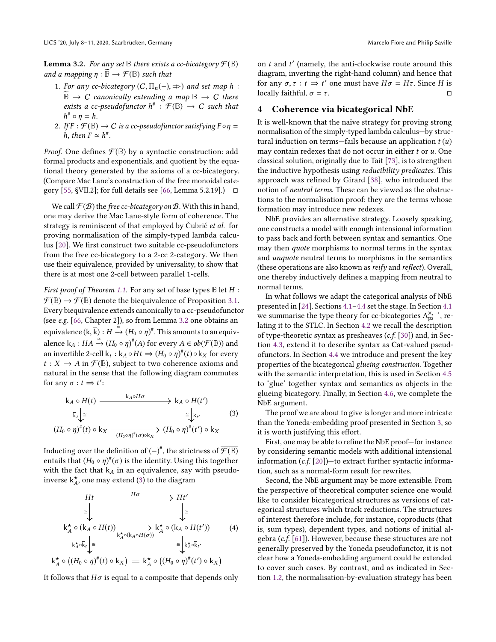**Lemma 3.2.** For any set  $\mathbb B$  there exists a cc-bicategory  $\mathcal F(\mathbb B)$ and a mapping  $\eta : \overline{\mathbb{B}} \to \mathcal{F}(\mathbb{B})$  such that

- 1. For any cc-bicategory  $(C, \Pi_n(-), \Rightarrow)$  and set map h:  $\widetilde{\mathbb{B}} \to C$  canonically extending a map  $\mathbb{B} \to C$  there exists a cc-pseudofunctor  $h^* : \mathcal{F}(\mathbb{B}) \to C$  such that  $h^* \circ n - h$  $h^* \circ \eta = h$ .
- 2. If  $F : \mathcal{F}(\mathbb{B}) \to C$  is a cc-pseudofunctor satisfying  $F \circ \eta = h$  then  $F \sim h^*$ h, then  $F \simeq h^*$ .

*Proof.* One defines  $\mathcal{F}(\mathbb{B})$  by a syntactic construction: add formal products and exponentials, and quotient by the equational theory generated by the axioms of a cc-bicategory. (Compare Mac Lane's construction of the free monoidal cate-gory [\[55,](#page-14-8) §VII.2]; for full details see [\[66,](#page-14-29) Lemma 5.2.19].)  $\Box$ 

We call  $\mathcal{F}(B)$  the free cc-bicategory on  $B$ . With this in hand, one may derive the Mac Lane-style form of coherence. The strategy is reminiscent of that employed by Čubrić et al. for proving normalisation of the simply-typed lambda calculus [\[20\]](#page-13-16). We first construct two suitable cc-pseudofunctors from the free cc-bicategory to a 2-cc 2-category. We then use their equivalence, provided by universality, to show that there is at most one 2-cell between parallel 1-cells.

First proof of Theorem [1.1.](#page-1-0) For any set of base types **<sup>B</sup>** let H :  $\mathcal{F}(\mathbb{B}) \to \overline{\mathcal{F}(\mathbb{B})}$  denote the biequivalence of Proposition [3.1.](#page-4-2) Every biequivalence extends canonically to a cc-pseudofunctor (see e.g. [\[66,](#page-14-29) Chapter 2]), so from Lemma [3.2](#page-4-3) one obtains an equivalence  $(k, \overline{k})$ :  $H \xrightarrow{\cong} (H_0 \circ \eta)^{\#}$ . This amounts to an equivalence  $k_A : HA \stackrel{\simeq}{\rightarrow} (H_0 \circ \eta)^*(A)$  for every  $A \in ob(\mathcal{F}(\mathbb{B}))$  and an invertible 2-cell  $\overline{k}_t : k_A \circ Ht \Rightarrow (H_0 \circ \eta)^*(t) \circ k_X$  for every  $t : X \to A$  in  $\mathcal{F}(\mathbb{R})$  subject to two coherence axioms and  $t: X \to A$  in  $\mathcal{F}(\mathbb{B})$ , subject to two coherence axioms and natural in the sense that the following diagram commutes for any  $\sigma : t \Rightarrow t'$ :

<span id="page-5-1"></span>
$$
k_A \circ H(t) \xrightarrow{k_A \circ H\sigma} k_A \circ H(t')
$$
\n
$$
\bar{k}_t \downarrow \cong \qquad \qquad \sum_{(H_0 \circ \eta)^* (t) \circ k_X} \sum_{(H_0 \circ \eta)^* (\sigma) \circ k_X} (H_0 \circ \eta)^* (t') \circ k_X
$$
\n(3)

Inducting over the definition of (−)<sup>#</sup>, the strictness of  $\overline{\mathcal{F}(\mathbb{B})}$ entails that  $(H_0 \circ \eta)^{\#}(\sigma)$  is the identity. Using this together<br>with the fact that  $k_{\perp}$  in an equivalence, say with pseudowith the fact that  $k_A$  in an equivalence, say with pseudoinverse  $\mathsf{k}_A^\star$ , one may extend [\(3\)](#page-5-1) to the diagram

<span id="page-5-2"></span>
$$
Ht \xrightarrow{\text{H}\sigma} Ht'
$$
\n
$$
\xrightarrow{\cong} Ht'
$$
\n
$$
\xrightarrow{\cong} \xrightarrow{\text{k}_{A}^{\star} \circ (\text{k}_{A} \circ H(t))} \xrightarrow{\text{k}_{A}^{\star} \circ (\text{k}_{A} \circ H(\sigma))} \text{k}_{A}^{\star} \circ (\text{k}_{A} \circ H(t')) \qquad (4)
$$
\n
$$
\xrightarrow{\text{k}_{A}^{\star} \circ \bar{k}_{t}} \xrightarrow{\cong} \xrightarrow{\text{k}_{A}^{\star} \circ (\text{H}_{0} \circ \eta)^{\#}(t') \circ k_{X}}
$$
\n
$$
\xrightarrow{\text{k}_{A}^{\star} \circ ((H_{0} \circ \eta)^{\#}(t) \circ k_{X})} = \text{k}_{A}^{\star} \circ ((H_{0} \circ \eta)^{\#}(t') \circ k_{X})
$$

It follows that  $H\sigma$  is equal to a composite that depends only

on  $t$  and  $t'$  (namely, the anti-clockwise route around this diagram inverting the right-hand column) and hence that diagram, inverting the right-hand column) and hence that for any *σ*, *τ* : *t* ⇒ *t'* one must have  $H\sigma = H\tau$ . Since *H* is locally faithful *σ* – *τ* locally faithful,  $\sigma = \tau$ .

# <span id="page-5-0"></span>4 Coherence via bicategorical NbE

It is well-known that the naïve strategy for proving strong normalisation of the simply-typed lambda calculus—by structural induction on terms—fails because an application  $t(u)$ may contain redexes that do not occur in either  $t$  or  $u$ . One classical solution, originally due to Tait [\[73\]](#page-14-30), is to strengthen the inductive hypothesis using *reducibility predicates*. This approach was refined by Girard [\[38\]](#page-14-31), who introduced the notion of neutral terms. These can be viewed as the obstructions to the normalisation proof: they are the terms whose formation may introduce new redexes.

NbE provides an alternative strategy. Loosely speaking, one constructs a model with enough intensional information to pass back and forth between syntax and semantics. One may then *quote* morphisms to normal terms in the syntax and unquote neutral terms to morphisms in the semantics (these operations are also known as reify and reflect). Overall, one thereby inductively defines a mapping from neutral to normal terms.

In what follows we adapt the categorical analysis of NbE presented in [\[24\]](#page-13-17). Sections [4.1](#page-6-2)[–4.4](#page-8-0) set the stage. In Section [4.1](#page-6-2) we summarise the type theory for cc-bicategories  $\Lambda_{ps}^{\times, \rightarrow}$ , re-<br>lating it to the STLC. In Section 4.2 we recall the description lating it to the STLC. In Section [4.2](#page-7-0) we recall the description of type-theoretic syntax as presheaves  $(c.f. [30])$  $(c.f. [30])$  $(c.f. [30])$  and, in Section [4.3,](#page-7-1) extend it to describe syntax as Cat-valued pseudofunctors. In Section [4.4](#page-8-0) we introduce and present the key properties of the bicategorical glueing construction. Together with the semantic interpretation, this is used in Section [4.5](#page-10-0) to 'glue' together syntax and semantics as objects in the glueing bicategory. Finally, in Section [4.6,](#page-10-1) we complete the NbE argument.

The proof we are about to give is longer and more intricate than the Yoneda-embedding proof presented in Section [3,](#page-4-0) so it is worth justifying this effort.

First, one may be able to refine the NbE proof—for instance by considering semantic models with additional intensional information  $(c.f. [20])$  $(c.f. [20])$  $(c.f. [20])$ —to extract further syntactic information, such as a normal-form result for rewrites.

Second, the NbE argument may be more extensible. From the perspective of theoretical computer science one would like to consider bicategorical structures as versions of categorical structures which track reductions. The structures of interest therefore include, for instance, coproducts (that is, sum types), dependent types, and notions of initial algebra (c.f. [\[61\]](#page-14-32)). However, because these structures are not generally preserved by the Yoneda pseudofunctor, it is not clear how a Yoneda-embedding argument could be extended to cover such cases. By contrast, and as indicated in Section [1.2,](#page-1-1) the normalisation-by-evaluation strategy has been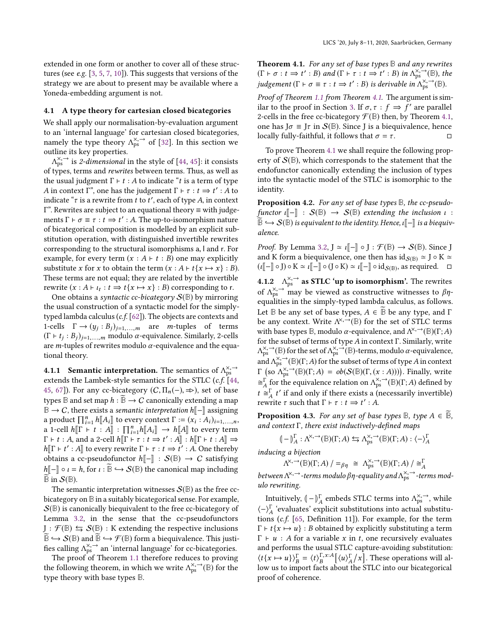extended in one form or another to cover all of these structures (see e.g. [\[3,](#page-13-29) [5,](#page-13-11) [7,](#page-13-12) [10\]](#page-13-30)). This suggests that versions of the strategy we are about to present may be available where a Yoneda-embedding argument is not.

## <span id="page-6-2"></span>4.1 A type theory for cartesian closed bicategories

We shall apply our normalisation-by-evaluation argument to an 'internal language' for cartesian closed bicategories, namely the type theory  $\Lambda_{ps}^{\times, \rightarrow}$  of [\[32\]](#page-13-8). In this section we outline its key properties outline its key properties.

Λ of types, terms and rewrites between terms. Thus, as well as  $\chi_{\rm ps}$  is 2-dimensional in the style of [\[44,](#page-14-33) [45\]](#page-14-34): it consists the usual judgment  $Γ$  +  $t$  : A to indicate "t is a term of type A in context  $\Gamma$ ", one has the judgement  $\Gamma \vdash \tau : t \Rightarrow t' : A$  to indicate " $\tau$  is a rewrite from t to t' each of type A in context indicate " $\tau$  is a rewrite from t to t', each of type A, in context<br> $\Gamma$ " Rewrites are subject to an equational theory = with judge  $Γ$ ". Rewrites are subject to an equational theory  $\equiv$  with judgements  $\Gamma \vdash \sigma \equiv \tau : t \Rightarrow t' : A$ . The up-to-isomorphism nature<br>of bicategorical composition is modelled by an evolucit subof bicategorical composition is modelled by an explicit substitution operation, with distinguished invertible rewrites corresponding to the structural isomorphisms <sup>a</sup>, <sup>l</sup> and <sup>r</sup>. For example, for every term  $(x : A \vdash t : B)$  one may explicitly substitute x for x to obtain the term  $(x : A \vdash t\{x \mapsto x\} : B)$ . These terms are not equal; they are related by the invertible rewrite  $(x : A \vdash \iota_t : t \Rightarrow t\{x \mapsto x\} : B)$  corresponding to r.<br>One obtains a syntactic co-bicategory  $S(\mathbb{R})$  by mirrorin

One obtains a syntactic cc-bicategory  $S(\mathbb{B})$  by mirroring the usual construction of a syntactic model for the simplytyped lambda calculus (c.f. [\[62\]](#page-14-35)). The objects are contexts and 1-cells  $\Gamma \to (y_j : B_j)_{j=1,...,m}$  are *m*-tuples of terms<br>( $\Gamma$  + t · B<sub>1</sub>), modulo *α*-equivalence Similarly 2-cells  $(\Gamma \vdash t_j : B_j)_{j=1,...,m}$  modulo  $\alpha$ -equivalence. Similarly, 2-cells<br>are m-tuples of rewrites modulo  $\alpha$ -equivalence and the equaare *m*-tuples of rewrites modulo  $\alpha$ -equivalence and the equational theory.

<span id="page-6-1"></span>**4.1.1 Semantic interpretation.** The semantics of  $\Lambda_{\text{ss}}^{\times, \rightarrow}$ <br>extends the I ambek-style semantics for the STIC (c f) [44] extends the Lambek-style semantics for the STLC (*c.f.* [\[44,](#page-14-33) [45,](#page-14-34) [67\]](#page-14-36)). For any cc-bicategory  $(C, \Pi_n(-), \Rightarrow)$ , set of base types **B** and set map  $h : \overline{B} \to C$  canonically extending a map  $\mathbb{B} \to C$ , there exists a *semantic interpretation* h $\llbracket - \rrbracket$  assigning a product  $\prod_{i=1}^{n} h[A_i]$  to every context  $\Gamma := (x_i : A_i)_{i=1,...,n}$ ,<br>a 1-cell  $h[\Gamma + t : A] \cdot \Pi^n$ ,  $h[A, \Gamma] \rightarrow h[\Gamma]$  to every term a product  $\prod_{i=1}^n n_{\parallel} A_i$  to every comext  $1 := (x_i : A_i)_{i=1,\ldots,n}$ <br>a 1-cell  $h[\Gamma \vdash t : A] : \prod_{i=1}^n h[[A_i]] \rightarrow h[[A]]$  to every term<br> $\Gamma \vdash t : A$  and a 2-cell  $h[\Gamma \vdash \tau : t \rightarrow t' : A]] \cdot h[\Gamma \vdash t : A]] \rightarrow$ a 1-cell  $h[[1 \t F \t I \t A]] \cdot 11_{i=1}h[[\Delta_i]] \rightarrow h[[\Delta_j]]$  to every term<br>  $\Gamma \vdash t : A$ , and a 2-cell  $h[[\Gamma \vdash \tau : t \Rightarrow t' : A]] : h[[\Gamma \vdash t : A]] \Rightarrow$ <br>  $h[[\Gamma \vdash t' \cdot A]]$  to every rewrite  $\Gamma \vdash \tau : t \rightarrow t' \cdot A$  One thereby  $h[\Gamma \vdash t' : A]$  to every rewrite  $\Gamma \vdash \tau : t \Rightarrow t' : A$ . One thereby<br>obtains a co-pseudofunctor  $h[\neg] : S(\mathbb{R}) \rightarrow C$  satisfying obtains a cc-pseudofunctor  $h\llbracket - \rrbracket : S(\mathbb{B}) \rightarrow C$  satisfying  $h\llbracket - \rrbracket \circ \iota = h$ , for  $\iota : \overline{\mathbb{B}} \hookrightarrow S(\mathbb{B})$  the canonical map including  $\mathbb{B}$  in  $\mathcal{S}(\mathbb{B})$ .

The semantic interpretation witnesses  $S(\mathbb{B})$  as the free ccbicategory on **B** in a suitably bicategorical sense. For example,  $S(\mathbb{B})$  is canonically biequivalent to the free cc-bicategory of Lemma [3.2,](#page-4-3) in the sense that the cc-pseudofunctors  $J : \mathcal{F}(\mathbb{B}) \leftrightarrows \mathcal{S}(\mathbb{B}) : K$  extending the respective inclusions  $\widetilde{\mathbb{B}} \hookrightarrow \mathcal{S}(\mathbb{B})$  and  $\widetilde{\mathbb{B}} \hookrightarrow \mathcal{F}(\mathbb{B})$  form a biequivalence. This justifies calling  $\Lambda_{ps}^{\times, \rightarrow}$  an 'internal language' for cc-bicategories.<br>The proof of Theorem 1.1 therefore reduces to proving

<span id="page-6-3"></span>The proof of Theorem [1.1](#page-1-0) therefore reduces to proving the following theorem, in which we write  $\Lambda_{ps}^{\times, \rightarrow}(\mathbb{B})$  for the type theory with base types  $\mathbb{B}$ type theory with base types **B**.

Theorem 4.1. For any set of base types **B** and any rewrites  $(\Gamma \vdash \sigma : t \Rightarrow t' : B)$  and  $(\Gamma \vdash \tau : t \Rightarrow t' : B)$  in  $\Lambda_{\rho}^{\times, -}(\mathbb{B})$ , the<br>independent  $(\Gamma \vdash \tau = \tau : t \Rightarrow t' : B)$  is derivable in  $\Lambda^{\times, -}(\mathbb{B})$ judgement ( $\Gamma \vdash \sigma \equiv \tau : t \Rightarrow t' : B$ ) is derivable in  $\Lambda_{\text{ps}}^{\times, \rightarrow}(\mathbb{B})$ .

Proof of Theorem [1.1](#page-1-0) from Theorem [4.1.](#page-6-3) The argument is sim-ilar to the proof in Section [3.](#page-4-0) If  $\sigma, \tau : f \Rightarrow f'$  are parallel<br>2-cells in the free co-bicategory  $\mathcal{F}(\mathbb{R})$  then by Theorem 4.1 2-cells in the free cc-bicategory  $\mathcal{F}(\mathbb{B})$  then, by Theorem [4.1,](#page-6-3) one has  $J\sigma \equiv J\tau$  in  $S(\mathbb{B})$ . Since J is a biequivalence, hence locally fully-faithful, it follows that  $\sigma = \tau$ . locally fully-faithful, it follows that  $\sigma = \tau$ .

To prove Theorem [4.1](#page-6-3) we shall require the following property of  $S(\mathbb{B})$ , which corresponds to the statement that the endofunctor canonically extending the inclusion of types into the syntactic model of the STLC is isomorphic to the identity.

<span id="page-6-4"></span>Proposition 4.2. For any set of base types **B**, the cc-pseudofunctor  $\mathfrak{u}[-\mathbb{I} : S(\mathbb{B}) \to S(\mathbb{B})$  extending the inclusion  $\mathfrak{u}$  :  $\overline{\mathbb{B}} \hookrightarrow \mathcal{S}(\mathbb{B})$  is equivalent to the identity. Hence,  $\iota$ [ $-$ ] is a biequivalence.

*Proof.* By Lemma [3.2,](#page-4-3)  $J \simeq \mathbf{I} - \cdot \cdot \cdot$   $\mathbf{F}(\mathbb{B}) \to \mathcal{S}(\mathbb{B})$ . Since J and K form a biequivalence, one then has  $id_{S(E)} \simeq J \circ K \simeq$  $(\iota[\![-\!] \circ J) \circ K \simeq \iota[\![-\!] \circ (J \circ K) \simeq \iota[\![-\!] \circ id_{\mathcal{S}(\mathbb{B})},$  as required.  $\Box$ 

4.1.2  $\Lambda_{\text{PS}}^{\times, \rightarrow}$  as STLC 'up to isomorphism'. The rewrites of  $Λ_{ps}^{\times, \rightarrow}$  may be viewed as constructive witnesses to  $βη$ -<br>equalities in the simply-typed lambda calculus as follows equalities in the simply-typed lambda calculus, as follows. Let  $\mathbb B$  be any set of base types,  $A \in \widetilde{\mathbb B}$  be any type, and  $\Gamma$ be any context. Write  $\Lambda^{\times, \rightarrow}(\mathbb{B})$  for the set of STLC terms<br>with hase types  $\mathbb{R}$  modulo *g*-equivalence and  $\Lambda^{\times, \rightarrow}(\mathbb{R})(\Gamma, A)$ with base types  $\mathbb{B}$ , modulo  $\alpha$ -equivalence, and  $\Lambda^{\times, \rightarrow}(\mathbb{B})(\Gamma; A)$ <br>for the subset of terms of type 4 in context  $\Gamma$ , Similarly, write for the subset of terms of type A in context Γ. Similarly, write  $\Lambda_{\text{ps}}^{\times, \to}(\mathbb{B})(\Gamma; A)$  for the subset of terms of type A in context<br>  $\Gamma$  (so  $\Lambda^{\times, \to}(\mathbb{B})(\Gamma; A) = sh(S(\mathbb{B})(\Gamma, (x, A)))$ ). Finally, write  $\chi^2$ , → (B) for the set of  $\Lambda^{x, -\dagger}_{\text{ps}}(B)$ -terms, modulo α-equivalence,<br>ad  $\Lambda^{x, -\dagger}(B)$ (F, A) for the subset of terms of type A in context  $\cong$ <sup>r</sup> for the equivalence relation on  $\Lambda_{ps}^{X, \to}(\mathbb{B})(\Gamma; A)$  defined by<br> $\star \sim$ <sup>r</sup> t' if and only if there exists a (possessing invertible)  $(\text{so } \Lambda_{\text{ps}}^{\times, \rightarrow}(\mathbb{B})(\Gamma; A) = ob(\mathcal{S}(\mathbb{B})(\Gamma, (x : A))))$ . Finally, write  $t \stackrel{\sim}{\approx} \frac{1}{A} t'$  if and only if there exists a (necessarily invertible)<br>rewrite  $\tau$  such that  $\Gamma \vdash \tau : t \to t' : A$  $T$  rewrite τ such that Γ ⊢ τ :  $t \Rightarrow t'$  : A.

<span id="page-6-0"></span>**Proposition 4.3.** For any set of base types  $\mathbb{B}$ , type  $A \in \overline{\mathbb{B}}$ , and context  $\Gamma$ , there exist inductively-defined maps

$$
(-)_{A}^{\Gamma} : \Lambda^{\times, \rightarrow}(\mathbb{B})(\Gamma; A) \leftrightarrows \Lambda_{\text{ps}}^{\times, \rightarrow}(\mathbb{B})(\Gamma; A) : \langle - \rangle_{A}^{\Gamma}
$$

inducing a bijection

between  $A^{\times, \rightarrow}$ -terms modulo  $\beta \eta$ -equality and  $\Lambda_{\text{ps}}^{\times, \rightarrow}$ -terms mod- $\chi \to (\mathbb{B})(\Gamma; A) / = \beta \eta \cong \Lambda_{ps}^{\times, \to} (\mathbb{B})(\Gamma; A) / \cong_A^{\Gamma}$ <br>
Note that  $\chi \to \infty$ ulo rewriting.

Intuitively,  $\left(-\right)_{A}^{\Gamma}$  embeds STLC terms into  $\Lambda_{ps}^{\times, \rightarrow}$ , while  $\langle - \rangle_A^{\Gamma}$  'evaluates' explicit substitutions into actual substitu-tions (c.f. [\[65,](#page-14-37) Definition 11]). For example, for the term  $\Gamma \vdash t \{x \mapsto u\} : B$  obtained by explicitly substituting a term  $\Gamma \vdash u : A$  for a variable x in t, one recursively evaluates and performs the usual STLC capture-avoiding substitution:  $\langle t\{x \mapsto u\}\rangle_B^{\Gamma} = \langle t\rangle_B^{\Gamma, x:A}$ <br>low us to import facts a ۔<br>م  $\left[ \langle u \rangle^{\Gamma}_{A} \right]$  $\sqrt{2}$ −<br>e . These operations will allow us to import facts about the STLC into our bicategorical proof of coherence.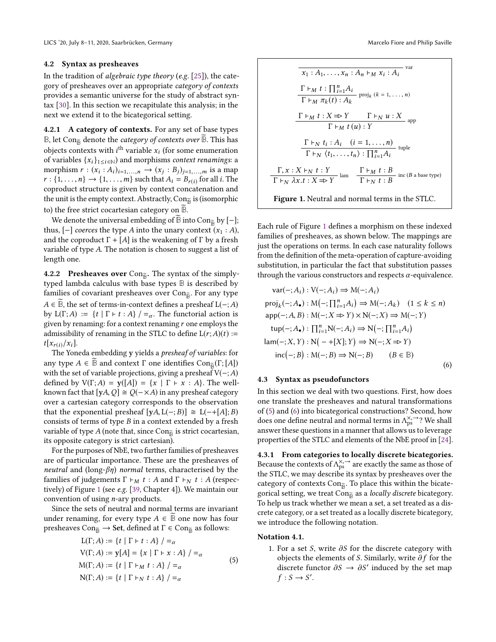#### <span id="page-7-0"></span>4.2 Syntax as presheaves

In the tradition of algebraic type theory (e.g. [\[25\]](#page-13-31)), the category of presheaves over an appropriate category of contexts provides a semantic universe for the study of abstract syntax [\[30\]](#page-13-28). In this section we recapitulate this analysis; in the next we extend it to the bicategorical setting.

4.2.1 A category of contexts. For any set of base types  $\mathbb{B}$ , let Con<sub> $\widetilde{\mathbb{B}}$  denote the *category of contexts over*  $\mathbb{B}$ . This has</sub> objects contexts with *i*<sup>th</sup> variable  $x_i$  (for some enumeration of variables  $f_{x_1}, \ldots, f_{x_n}$ ) and morphisms *context renamings* a of variables  $\{x_i\}_{1\leq i\in\mathbb{N}}$  and morphisms *context renamings*: a morphism  $r : (x_i : A_i)_{i=1,...,n} \rightarrow (x_j : B_j)_{j=1,...,m}$  is a map<br> $r : \{1, ..., n\} \rightarrow \{1, ..., m\}$  such that  $A_i - B_i$  of or all *i*. The  $r : \{1, \ldots, n\} \rightarrow \{1, \ldots, m\}$  such that  $A_i = B_{r(i)}$  for all *i*. The conroduct structure is given by context concatenation and coproduct structure is given by context concatenation and the unit is the empty context. Abstractly,  $Con_{\widetilde{B}}$  is (isomorphic to) the free strict cocartesian category on  $\overline{B}$ .

We denote the universal embedding of  $\mathbb B$  into Con $\mathbb B$  by  $[-]$ ; thus,  $[-]$  coerces the type A into the unary context  $(x_1 : A)$ , and the coproduct  $\Gamma + [A]$  is the weakening of  $\Gamma$  by a fresh variable of type A. The notation is chosen to suggest a list of length one.

4.2.2 Presheaves over Con<sub> $\tilde{B}$ </sub>. The syntax of the simplytyped lambda calculus with base types **B** is described by families of covariant presheaves over Con<sub>®</sub>. For any type  $A \in \mathbb{B}$ , the set of terms-in-context defines a presheaf  $L(-;A)$ by L(Γ; A) :=  $\{t | \Gamma \vdash t : A\}$  / =  $\alpha$ . The functorial action is given by renaming: for a context renaming  $r$  one employs the admissibility of renaming in the STLC to define  $L(r;A)(t)$  :=  $t[x_{r(i)}/x_i].$ 

The Yoneda embedding y yields a presheaf of variables: for any type  $A \in \mathbb{B}$  and context  $\Gamma$  one identifies  $Con_{\mathbb{B}}(\Gamma;[A])$ with the set of variable projections, giving a presheaf  $V(-;A)$ defined by  $V(\Gamma; A) = y([A]) = \{x \mid \Gamma \vdash x : A\}$ . The wellknown fact that [yA, Q]  $\cong$  Q(−×A) in any presheaf category over a cartesian category corresponds to the observation that the exponential presheaf  $[yA, L(-; B)] \cong L(-+[A]; B)$ consists of terms of type  $B$  in a context extended by a fresh variable of type A (note that, since  $Con_{\widetilde{B}}$  is strict cocartesian, its opposite category is strict cartesian).

For the purposes of NbE, two further families of presheaves are of particular importance. These are the presheaves of *neutral* and (long- $\beta\eta$ ) *normal* terms, characterised by the families of judgements  $\Gamma \vdash_M t : A$  and  $\Gamma \vdash_N t : A$  (respectively) of Figure [1](#page-7-2) (see e.g. [\[39,](#page-14-17) Chapter 4]). We maintain our convention of using n-ary products.

Since the sets of neutral and normal terms are invariant under renaming, for every type  $A \in \mathbb{B}$  one now has four presheaves Con $\widetilde{\mathsf{B}} \to$  Set, defined at  $\Gamma \in \mathsf{Con}_{\widetilde{\mathsf{B}}}$  as follows:

<span id="page-7-3"></span>
$$
L(\Gamma; A) := \{t \mid \Gamma \vdash t : A\} / =_{\alpha}
$$
  
\n
$$
V(\Gamma; A) := y[A] = \{x \mid \Gamma \vdash x : A\} / =_{\alpha}
$$
  
\n
$$
M(\Gamma; A) := \{t \mid \Gamma \vdash_M t : A\} / =_{\alpha}
$$
  
\n
$$
N(\Gamma; A) := \{t \mid \Gamma \vdash_N t : A\} / =_{\alpha}
$$
\n(5)

<span id="page-7-2"></span>
$$
\frac{\Gamma \vdash_M t : A_1, \dots, x_n : A_n \vdash_M x_i : A_i}{\Gamma \vdash_M \pi_k(t) : A_k} \text{proj}_k (k = 1, \dots, n)
$$
\n
$$
\frac{\Gamma \vdash_M t : \prod_{i=1}^n A_i}{\Gamma \vdash_M t (k) : A_k} \text{app}
$$
\n
$$
\frac{\Gamma \vdash_M t : X \Rightarrow Y \qquad \Gamma \vdash_N u : X}{\Gamma \vdash_M t (u) : Y} \text{app}
$$
\n
$$
\frac{\Gamma \vdash_N t_i : A_i \quad (i = 1, \dots, n)}{\Gamma \vdash_N \langle t_1, \dots, t_n \rangle : \prod_{i=1}^n A_i} \text{tuple}
$$
\n
$$
\frac{\Gamma, x : X \vdash_N t : Y}{\Gamma \vdash_N \lambda x. t : X \Rightarrow Y} \text{lam} \qquad \frac{\Gamma \vdash_M t : B}{\Gamma \vdash_N t : B} \text{inc (B a base type)}
$$
\n
$$
\text{Figure 1. Neutral and normal terms in the STLC.}
$$

Each rule of Figure [1](#page-7-2) defines a morphism on these indexed families of presheaves, as shown below. The mappings are just the operations on terms. In each case naturality follows from the definition of the meta-operation of capture-avoiding substitution, in particular the fact that substitution passes through the various constructors and respects  $\alpha$ -equivalence.

<span id="page-7-4"></span>
$$
var(-; A_i) : V(-; A_i) \Rightarrow M(-; A_i)
$$
  
\n
$$
proj_k(-; A_{\bullet}) : M(-; \prod_{i=1}^{n} A_i) \Rightarrow M(-; A_k) \quad (1 \le k \le n)
$$
  
\n
$$
app(-; A, B) : M(-; X \Rightarrow Y) \times N(-; X) \Rightarrow M(-; Y)
$$
  
\n
$$
top(-; A_{\bullet}) : \prod_{i=1}^{n} N(-; A_i) \Rightarrow N(-; \prod_{i=1}^{n} A_i)
$$
  
\n
$$
lam(-; X, Y) : N(-+[X]; Y) \Rightarrow N(-; X \Rightarrow Y)
$$
  
\n
$$
inc(-; B) : M(-; B) \Rightarrow N(-; B) \qquad (B \in \mathbb{B})
$$
  
\n(6)

## <span id="page-7-1"></span>4.3 Syntax as pseudofunctors

In this section we deal with two questions. First, how does one translate the presheaves and natural transformations of [\(5\)](#page-7-3) and [\(6\)](#page-7-4) into bicategorical constructions? Second, how does one define neutral and normal terms in  $\Lambda_{ps}^{\times, \rightarrow}$ ? We shall answer these questions in a manner that allows us to leverage properties of the STLC and elements of the NbE proof in [\[24\]](#page-13-17).

4.3.1 From categories to locally discrete bicategories. Because the contexts of  $\Lambda_{\rm ps}^{\times, \rightarrow}$  are exactly the same as those of the STIC, we may describe its syntax by presheaves over the the STLC, we may describe its syntax by presheaves over the category of contexts  $Con_{\tilde{B}}$ . To place this within the bicategorical setting, we treat Con<sub> $\widetilde{B}$ </sub> as a *locally discrete* bicategory. To help us track whether we mean a set, a set treated as a discrete category, or a set treated as a locally discrete bicategory, we introduce the following notation.

### Notation 4.1.

1. For a set S, write  $\partial S$  for the discrete category with objects the elements of S. Similarly, write  $\partial f$  for the discrete functor  $\partial S \to \partial S'$  induced by the set map  $f : S \to S'$  $f : S \to S'.$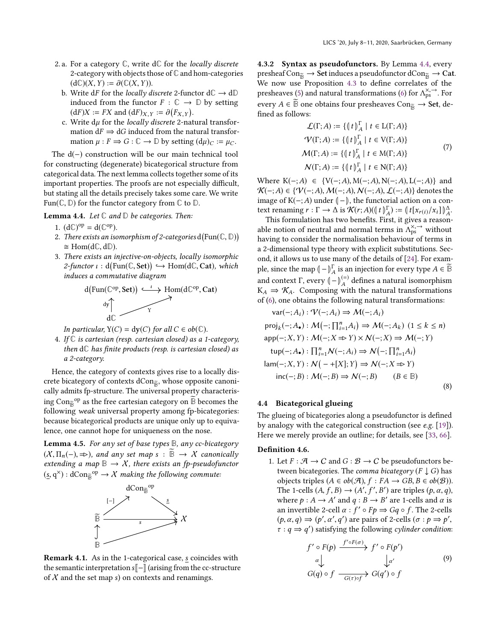- 2. a. For a category **C**, write d**C** for the locally discrete 2-category with objects those of **C** and hom-categories  $(d\mathbb{C})(X, Y) := \partial(\mathbb{C}(X, Y)).$ 
	- b. Write dF for the *locally discrete* 2-functor  $dC \rightarrow dD$ induced from the functor  $F : \mathbb{C} \to \mathbb{D}$  by setting  $(dF)X := FX$  and  $(dF)_{X,Y} := \partial (F_{X,Y}).$ <br>Write du for the locally discrete 2-nat
	- FIRE THE CONSETTED AND  $(X, Y)$ .<br>
	C. Write  $d\mu$  for the locally discrete 2-natural transformation  $dF \rightarrow dG$  induced from the natural transformation mation  $dF \Rightarrow dG$  induced from the natural transformation  $\mu : F \Rightarrow G : \mathbb{C} \to \mathbb{D}$  by setting  $(d\mu)_C := \mu_C$ .

The d(−) construction will be our main technical tool for constructing (degenerate) bicategorical structure from categorical data. The next lemma collects together some of its important properties. The proofs are not especially difficult, but stating all the details precisely takes some care. We write Fun( $\mathbb{C}, \mathbb{D}$ ) for the functor category from  $\mathbb{C}$  to  $\mathbb{D}$ .

<span id="page-8-1"></span>Lemma 4.4. Let **C** and **D** be categories. Then:

- 1.  $(d\mathbb{C})^{\text{op}} = d(\mathbb{C}^{\text{op}})$ .
- 2. There exists an isomorphism of 2-categories  $d(\text{Fun}(\mathbb{C}, \mathbb{D}))$ <br>  $\approx \text{Hom}(d\mathbb{C}, d\mathbb{D})$  $\cong$  Hom(d $\mathbb{C}$ , d $\mathbb{D}$ ).
- <span id="page-8-5"></span>3. There exists an injective-on-objects, locally isomorphic  $2\text{-}functor \iota : d(Fun(\mathbb{C}, \mathsf{Set})) \hookrightarrow \text{Hom}(d\mathbb{C}, \mathsf{Cat}), \text{ which}$ induces a commutative diagram

$$
\underbrace{d(Fun(\mathbb{C}^{op},\mathbf{Set}))\xrightarrow{\iota}\text{Hom}(d\mathbb{C}^{op},\mathbf{Cat})}_{d\mathbb{C}}
$$

In particular,  $Y(C) = dy(C)$  for all  $C \in ob(\mathbb{C})$ .

4. If **C** is cartesian (resp. cartesian closed) as a 1-category, then d**C** has finite products (resp. is cartesian closed) as a 2-category.

Hence, the category of contexts gives rise to a locally discrete bicategory of contexts dCon<sub>®</sub>, whose opposite canonically admits fp-structure. The universal property characterising Con $\mathbb{B}^{\text{op}}$  as the free cartesian category on  $\mathbb{B}$  becomes the following weak universal property among fp-bicategories: because bicategorical products are unique only up to equivalence, one cannot hope for uniqueness on the nose.

<span id="page-8-2"></span>Lemma 4.5. For any set of base types **B**, any cc-bicategory  $(X, \Pi_n(-), \Rightarrow)$ , and any set map s :  $\overline{\mathbb{B}} \to X$  canonically extending a map  $\mathbb{B} \to \mathcal{X}$ , there exists an fp-pseudofunctor  $(\underline{s}, \mathrm{q}^{\times}) : \mathrm{dCon}_{\mathbb{\bar{B}}}^{\mathrm{op}} \to \mathcal{X}$  making the following commute:



<span id="page-8-3"></span>Remark 4.1. As in the 1-categorical case, s coincides with the semantic interpretation s[- \] (arising from the cc-structure of  $X$  and the set map s) on contexts and renamings.

4.3.2 Syntax as pseudofunctors. By Lemma [4.4,](#page-8-1) every presheaf Con $\overline{B} \to$  Set induces a pseudofunctor dCon $\overline{B} \to$  Cat. We now use Proposition [4.3](#page-6-0) to define correlates of the presheaves [\(5\)](#page-7-3) and natural transformations [\(6\)](#page-7-4) for  $\Lambda_{ps}^{\times, \rightarrow}$ . For every  $A \in \overline{B}$  one obtains four presheaves Con<sub> $\widetilde{B} \to$  Set, de-</sub> fined as follows:

$$
\mathcal{L}(\Gamma; A) := \{ (t \mid t)_{A}^{\Gamma} \mid t \in L(\Gamma; A) \}
$$
  
\n
$$
\mathcal{V}(\Gamma; A) := \{ (t \mid t)_{A}^{\Gamma} \mid t \in V(\Gamma; A) \}
$$
  
\n
$$
\mathcal{M}(\Gamma; A) := \{ (t \mid t)_{A}^{\Gamma} \mid t \in M(\Gamma; A) \}
$$
  
\n
$$
\mathcal{N}(\Gamma; A) := \{ (t \mid t)_{A}^{\Gamma} \mid t \in N(\Gamma; A) \}
$$
\n(7)

Where K(-;A) ∈ {V(-;A), M(-;A), N(-;A), L(-;A)} and  $K(-; A) \in \{V(-; A), M(-; A), N(-; A), L(-; A)\}$  $\mathcal{K}(-;A) \in \{ \mathcal{V}(-;A), \mathcal{M}(-;A), \mathcal{N}(-;A), \mathcal{L}(-;A) \}$  denotes the image of K(−; A) under  $\langle - \rangle$ , the functorial action on a context renaming  $r : \Gamma \to \Delta$  is  $\mathcal{K}(r; A) (\llbracket t \rrbracket_A^{\Gamma}) := \llbracket t[x_{r(i)}/x_i] \rrbracket_A^{\Delta}$ .<br>This formulation has two benefits First it gives a reason-

This formulation has two benefits. First, it gives a reasonable notion of neutral and normal terms in  $\Lambda_{ps}^{\times, \rightarrow}$  without having to consider the normalisation behaviour of terms in having to consider the normalisation behaviour of terms in a 2-dimensional type theory with explicit substitutions. Second, it allows us to use many of the details of [\[24\]](#page-13-17). For example, since the map  $\left(\begin{array}{c}\n-\int_{A}^{T}$  is an injection for every type  $A \in \mathbb{B}$ and context Γ, every  $(-\begin{matrix} \n\end{matrix})_A^{(-)}$ <br>  $K \rightarrow \mathcal{K}$ . Composing wi .<br>KX defines a natural isomorphism  $K_A \Rightarrow \mathcal{K}_A$ . Composing with the natural transformations  $\mathcal{L}(\epsilon)$  are obtained to following natural transformations. of [\(6\)](#page-7-4), one obtains the following natural transformations:

<span id="page-8-4"></span>var
$$
(-; A_i) : \mathcal{V}(-; A_i) \Rightarrow \mathcal{M}(-; A_i)
$$
  
\nproj<sub>k</sub> $(-; A_{\bullet}) : \mathcal{M}(-; \prod_{i=1}^{n} A_i) \Rightarrow \mathcal{M}(-; A_k) \ (1 \le k \le n)$   
\napp $(-; X, Y) : \mathcal{M}(-; X \Rightarrow Y) \times \mathcal{N}(-; X) \Rightarrow \mathcal{M}(-; Y)$   
\n $\text{tup}(-; A_{\bullet}) : \prod_{i=1}^{n} \mathcal{N}(-; A_i) \Rightarrow \mathcal{N}(-; \prod_{i=1}^{n} A_i)$   
\n $\text{lam}(-; X, Y) : \mathcal{N}(-+ [X]; Y) \Rightarrow \mathcal{N}(-; X \Rightarrow Y)$   
\ninc(-; B) :  $\mathcal{M}(-; B) \Rightarrow \mathcal{N}(-; B)$  (B  $\in \mathbb{B}$ ) (8)

## <span id="page-8-0"></span>4.4 Bicategorical glueing

The glueing of bicategories along a pseudofunctor is defined by analogy with the categorical construction (see e.g. [\[19\]](#page-13-32)). Here we merely provide an outline; for details, see [\[33,](#page-13-20) [66\]](#page-14-29).

## Definition 4.6.

1. Let  $F : \mathcal{A} \to C$  and  $G : \mathcal{B} \to C$  be pseudofunctors between bicategories. The comma bicategory ( $F \downarrow G$ ) has objects triples ( $A ∈ ob(\mathcal{A})$ ,  $f : FA → GB$ ,  $B ∈ ob(\mathcal{B})$ ). The 1-cells  $(A, f, B) \rightarrow (A', f', B')$  are triples  $(p, \alpha, q)$ ,<br>where  $p : A \rightarrow A'$  and  $q : B \rightarrow B'$  are 1-cells and  $q$  is where  $p : A \to A'$  and  $q : B \to B'$  are 1-cells and  $\alpha$  is<br>an invertible 2-cell  $\alpha : f' \circ F_0 \to G_0 \circ f$ . The 2-cells an invertible 2-cell  $\alpha$  :  $f' \circ Fp \Rightarrow Gq \circ f$ . The 2-cells<br>(a,  $\alpha$ , a)  $\Rightarrow (p', \alpha', a')$  are pairs of 2-cells  $(\alpha : p \rightarrow p')$  $(p, \alpha, q) \Rightarrow (p', \alpha', q')$  are pairs of 2-cells  $(\sigma : p \Rightarrow p'$ <br> $\tau : q \rightarrow q'$ ) estisfying the following cylinder condition  $\tau : q \Rightarrow q'$ ) satisfying the following *cylinder condition*:

<span id="page-8-6"></span>
$$
f' \circ F(p) \xrightarrow{f' \circ F(\sigma)} f' \circ F(p')
$$
  
\n
$$
\alpha \downarrow \qquad \qquad \downarrow \alpha'
$$
  
\n
$$
G(q) \circ f \xrightarrow{G(\tau) \circ f} G(q') \circ f
$$
\n(9)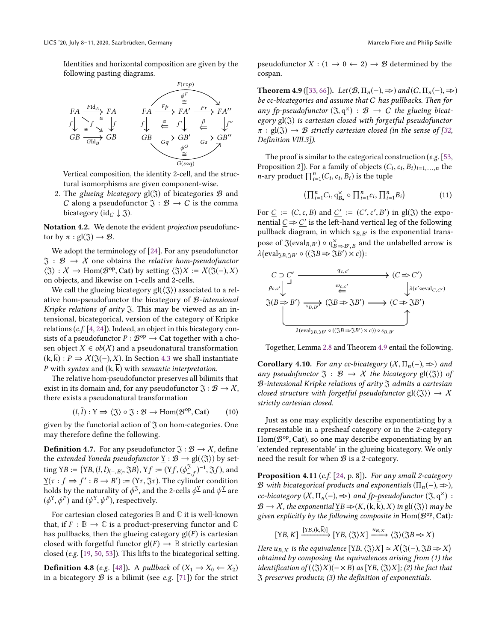Identities and horizontal composition are given by the following pasting diagrams.



Vertical composition, the identity 2-cell, and the structural isomorphisms are given component-wise.

2. The glueing bicategory  $gl(3)$  of bicategories  $B$  and C along a pseudofunctor  $\mathfrak{J} : \mathcal{B} \to C$  is the comma bicategory (id<sub>C</sub>  $\downarrow$   $\mathfrak{J}$ ).

Notation 4.2. We denote the evident *projection* pseudofunctor by  $\pi$  :  $gl(\mathfrak{J}) \rightarrow \mathcal{B}$ .

We adopt the terminology of [\[24\]](#page-13-17). For any pseudofunctor  $\mathfrak{I} : \mathcal{B} \to \mathcal{X}$  one obtains the *relative hom-pseudofunctor*  $\langle \Im \rangle : X \to \text{Hom}(\mathcal{B}^{\text{op}}, \text{Cat})$  by setting  $\langle \Im \rangle X := X(\Im(-), X)$ <br>on objects and likewise on 1-cells and 2-cells on objects, and likewise on 1-cells and 2-cells.

We call the glueing bicategory  $gl(\langle \mathfrak{J} \rangle)$  associated to a relative hom-pseudofunctor the bicategory of B-intensional Kripke relations of arity  $\Im$ . This may be viewed as an intensional, bicategorical, version of the category of Kripke relations (c.f. [\[4,](#page-13-33) [24\]](#page-13-17)). Indeed, an object in this bicategory consists of a pseudofunctor  $P : \mathcal{B}^{\text{op}} \to \text{Cat}$  together with a cho-<br>sen object  $X \in \text{ch}(X)$  and a pseudopatural transformation sen object  $X \in ob(X)$  and a pseudonatural transformation  $(k, \overline{k})$ :  $P \Rightarrow X(\mathfrak{J}(-), X)$ . In Section [4.3](#page-7-1) we shall instantiate P with syntax and  $(k, \overline{k})$  with semantic interpretation.

The relative hom-pseudofunctor preserves all bilimits that exist in its domain and, for any pseudofunctor  $\mathfrak{J} : \mathcal{B} \to \mathcal{X}$ , there exists a pseudonatural transformation

<span id="page-9-1"></span>
$$
(l, \bar{l}) : \mathcal{Y} \Rightarrow \langle \mathfrak{J} \rangle \circ \mathfrak{J} : \mathcal{B} \to \text{Hom}(\mathcal{B}^{\text{op}}, \text{Cat}) \tag{10}
$$

given by the functorial action of  $\mathfrak J$  on hom-categories. One may therefore define the following.

**Definition 4.7.** For any pseudofunctor  $\mathfrak{J} : \mathcal{B} \to \mathcal{X}$ , define the *extended Yoneda pseudofunctor*  $\underline{Y} : \mathcal{B} \to \text{gl}(\langle \mathfrak{J} \rangle)$  by setting  $\underline{Y}B := (YB, (l, \bar{l})_{(-, B)}, \Im B), \underline{Y}f := (Yf, (\phi^{\Im}_{-f})^{-1}, \Im f),$  and<br> $Y(f, f) \to f'$ ,  $B \to B'$ ,  $(S \to \Im B)$ . The subject of each diagnoscopic  $\underline{Y}(\tau : f \Rightarrow f' : B \rightarrow B') := (Y\tau, \Im \tau)$ . The cylinder condition<br>holds by the naturality of  $\phi^{\Im}$  and the 2-cells  $\phi^{\chi}$  and  $\psi^{\chi}$  are holds by the naturality of  $\phi^3$ , and the 2-cells  $\phi^{\underline{Y}}$  and  $\psi^{\underline{Y}}$  are  $(\phi^Y, \phi^F)$  and  $(\psi^Y, \psi^F)$  respectively.  $(\phi^{\rm Y})$  $, \phi^F$ ) and  $(\psi^Y)$ ,  $\psi^F$ ), respectively.

For cartesian closed categories **B** and **C** it is well-known that, if  $F : \mathbb{B} \to \mathbb{C}$  is a product-preserving functor and  $\mathbb{C}$ has pullbacks, then the glueing category  $gl(F)$  is cartesian closed with forgetful functor  $gl(F) \rightarrow B$  strictly cartesian closed (e.g. [\[19,](#page-13-32) [50,](#page-14-38) [53\]](#page-14-39)). This lifts to the bicategorical setting.

**Definition 4.8** (e.g. [\[48\]](#page-14-40)). A pullback of  $(X_1 \rightarrow X_0 \leftarrow X_2)$ in a bicategory  $\mathcal B$  is a bilimit (see e.g. [\[71\]](#page-14-25)) for the strict

pseudofunctor  $X : (1 \rightarrow 0 \leftarrow 2) \rightarrow \mathcal{B}$  determined by the cospan.

<span id="page-9-0"></span>**Theorem 4.9** ([\[33,](#page-13-20) [66\]](#page-14-29)). Let  $(\mathcal{B}, \Pi_n(-), \Rightarrow)$  and  $(C, \Pi_n(-), \Rightarrow)$ be cc-bicategories and assume that C has pullbacks. Then for any fp-pseudofunctor  $(\mathfrak{J}, q^{\times}) : \mathcal{B} \to C$  the glueing bicat-<br>exacy  $g(\mathfrak{J})$  is cartesian closed with forgetful pseudofunctor egory gl(3) is cartesian closed with forgetful pseudofunctor  $\pi : \text{gl}(\mathfrak{J}) \to \mathcal{B}$  strictly cartesian closed (in the sense of [\[32,](#page-13-8) Definition VIII.3]).

The proof is similar to the categorical construction (e.g. [\[53,](#page-14-39) Proposition 2]). For a family of objects  $(C_i, c_i, B_i)_{i=1,...,n}$  the name of  $\Pi^n$   $(C, c, B_i)$  is the tuple *n*-ary product  $\prod_{i=1}^{n} (C_i, c_i, B_i)$  is the tuple

<span id="page-9-2"></span>
$$
\left(\prod_{i=1}^{n}C_i,\mathbf{q}_{B_{\bullet}}^{\times}\circ\prod_{i=1}^{n}c_i,\prod_{i=1}^{n}B_i\right) \tag{11}
$$

For  $\underline{C} := (C, c, B)$  and  $\underline{C}' := (C', c', B')$  in gl(3) the expo-<br>pential  $C \rightarrow C'$  is the left-hand vertical leg of the following nential  $\underline{C} \Rightarrow \underline{C'}$  is the left-hand vertical leg of the following<br>nullback diagram in which so v is the exponential transpullback diagram, in which  $s_{B,B'}$  is the exponential transpose of  $\Im(\text{eval}_{B,B'}) \circ q_{B \Rightarrow B',B}^{\times}$  and the unlabelled arrow is  $\tilde{\mathcal{L}}$  $\left(\text{eval}_{\mathfrak{J}B,\mathfrak{J}B'}\circ ((\mathfrak{J}B\Rightarrow \mathfrak{J}B')\times c)\right):$ 



Together, Lemma [2.8](#page-4-1) and Theorem [4.9](#page-9-0) entail the following.

**Corollary 4.10.** For any cc-bicategory  $(X, \Pi_n(-), \Rightarrow)$  and any pseudofunctor  $\mathfrak{J} : \mathcal{B} \to \mathcal{X}$  the bicategory  $\text{gl}(\langle \mathfrak{J} \rangle)$  of  $B$ -intensional Kripke relations of arity  $\mathfrak I$  admits a cartesian closed structure with forgetful pseudofunctor  $gl(\langle \tilde{\chi} \rangle) \rightarrow X$ strictly cartesian closed.

Just as one may explicitly describe exponentiating by a representable in a presheaf category or in the 2-category  $Hom(\mathcal{B}^{op}, \mathbf{Cat})$ , so one may describe exponentiating by an  $\mathcal{B}^{c}$  is the sluging bicategory. We only 'extended representable' in the glueing bicategory. We only need the result for when  $B$  is a 2-category.

**Proposition 4.11** (c.f. [\[24,](#page-13-17) p. 8]). For any small 2-category B with bicategorical products and exponentials  $(\Pi_n(-), \Rightarrow)$ , cc-bicategory  $(X, \Pi_n(-), \Rightarrow)$  and fp-pseudofunctor  $(\mathfrak{J}, q^{\times}) :$ <br> $\mathcal{P} \longrightarrow X$  the expensatiol  $\nabla P \rightarrow (K (\mathfrak{l}, \bar{\mathfrak{l}}) \times)$  in  $\pi l(\mathfrak{J})$ ) meas he  $\mathcal{B} \to \mathcal{X}$ , the exponential YB  $\Rightarrow$   $(K, (k, \overline{k}), X)$  in gl $(\langle \overline{\mathfrak{J}} \rangle)$  may be given explicitly by the following composite in  $\text{Hom}(\mathcal{B}^{\text{op}}, \text{Cat})$ :

$$
[YB, K] \xrightarrow{[YB, (k, \bar{k})]} [YB, (\Im)X] \xrightarrow{u_{B,X}} (\Im) (\Im B \Rightarrow X)
$$

Here  $u_{B,X}$  is the equivalence  $[YB, \langle \Im \rangle X] \simeq \chi'(\Im(-), \Im B \Rightarrow X)$ <br>obtained by composing the equivalences arising from (1) the obtained by composing the equivalences arising from (1) the identification of  $(\langle \Im \rangle X)(-\times B)$  as  $[YB, \langle \Im \rangle X](2)$  the fact that  $\tilde{\chi}$  preserves products; (3) the definition of exponentials.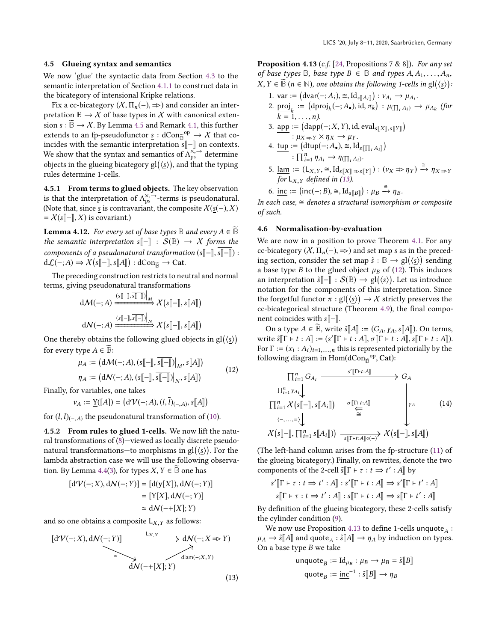#### <span id="page-10-0"></span>4.5 Glueing syntax and semantics

We now 'glue' the syntactic data from Section [4.3](#page-7-1) to the semantic interpretation of Section [4.1.1](#page-6-1) to construct data in the bicategory of intensional Kripke relations.

Fix a cc-bicategory  $(X, \Pi_n(-)) \Rightarrow$  and consider an interpretation  $\mathbb{B} \to \mathcal{X}$  of base types in  $\mathcal{X}$  with canonical extension  $s : \overline{B} \to \mathcal{X}$ . By Lemma [4.5](#page-8-2) and Remark [4.1,](#page-8-3) this further extends to an fp-pseudofunctor  $\underline{s}: dCon_{\mathbb{B}}^{\text{op}} \to \mathcal{X}$  that co-<br>incides with the semantic interpretation  $\mathbf{S}^{\mathbb{F}-\mathbb{I}}$  on contexts incides with the semantic interpretation  $s[[-]]$  on contexts. We show that the syntax and semantics of  $\Lambda_{ps}^{\chi^2}$  determine<br>chiects in the glueing hiertecom,  $g_1/(\chi)$  and that the tuning objects in the glueing bicategory  $gl(\langle \underline{s} \rangle)$ , and that the typing<br>rules determine 1-cells rules determine 1-cells.

4.5.1 From terms to glued objects. The key observation is that the interpretation of  $\Lambda_{ps}^{\times, \rightarrow}$ -terms is pseudonatural.<br>(Note that since s is contravariant the composite  $X(s(-), Y)$ ) (Note that, since <u>s</u> is contravariant, the composite  $X(s(-),X)$  $=\mathcal{X}(s[\![-\!],X)$  is covariant.)

**Lemma 4.12.** For every set of base types **B** and every  $A \in \mathbb{B}$ the semantic interpretation s $\llbracket - \rrbracket$  :  $S(\mathbb{B}) \rightarrow X$  forms the components of a pseudonatural transformation  $(s[-\vert, s\vert-\vert)$  : d $\mathcal{L}(-;A)$   $\Rightarrow$   $\mathcal{X}(s[[-]], s[[A]]) :$  dCon<sub> $\tilde{B}$ </sub>  $\rightarrow$  Cat.

The preceding construction restricts to neutral and normal terms, giving pseudonatural transformations

$$
d\mathcal{M}(-;A) \xrightarrow{\left(s[\hspace{-0.04cm}[\cdot]\hspace{-0.04cm},\overline{s[\hspace{-0.04cm}[\cdot]\hspace{-0.04cm}],\overline{s[\hspace{-0.04cm}[\cdot]\hspace{-0.04cm}]}}\right)_{M}} \mathcal{X}\left(s[\hspace{-0.04cm}[\cdot]\hspace{-0.04cm}],s[\hspace{-0.04cm}[\hspace{-0.04cm}[A]\hspace{-0.04cm}]\right)
$$

$$
d\mathcal{N}(-;A) \xrightarrow{\left(s[\hspace{-0.04cm}[\cdot]\hspace{-0.04cm},\overline{s[\hspace{-0.04cm}[\cdot]\hspace{-0.04cm}],\overline{s[\hspace{-0.04cm}[\cdot]\hspace{-0.04cm}]}}\right)} \mathcal{X}\left(s[\hspace{-0.04cm}[\cdot]\hspace{-0.04cm}],s[\hspace{-0.04cm}[\hspace{-0.04cm}[A]\hspace{-0.04cm}]\right)
$$

One thereby obtains the following glued objects in  $gl(\langle \underline{s} \rangle)$ <br>for symmetries  $A \subseteq \widetilde{\mathbb{P}}$ . for every type  $A \in \mathbb{B}$ :

<span id="page-10-3"></span>
$$
\mu_A := (d\mathcal{M}(-;A), (s[\![-]\!], \overline{s[\![-]\!]})\big|_M, s[\![A]\!])
$$
  

$$
\eta_A := (d\mathcal{N}(-;A), (s[\![-]\!], \overline{s[\![-]\!]})\big|_N, s[\![A]\!])
$$
 (12)

Finally, for variables, one takes

$$
\nu_A := \underline{\mathrm{Y}}([A]) = \big(\mathrm{d}\mathrm{V}(-;A), (l,\overline{l})_{(-,A)}, s[\![A]\!]\big)
$$

for  $(l, l)_{(-, A)}$  the pseudonatural transformation of [\(10\)](#page-9-1).

4.5.2 From rules to glued 1-cells. We now lift the natural transformations of [\(8\)](#page-8-4)—viewed as locally discrete pseudonatural transformations—to morphisms in  $gl(\S)$ ). For the<br>lambda abstraction case we will use the following observalambda abstraction case we will use the following observa-tion. By Lemma [4.4](#page-8-1)[\(3\)](#page-8-5), for types  $X, Y \in \mathbb{B}$  one has

$$
[dV(-;X), dN(-;Y)] = [d(y[X]), dN(-;Y)]
$$
  
= [Y[X], dN(-;Y)]  

$$
\simeq dN(-+[X];Y)
$$

and so one obtains a composite  $L_{X,Y}$  as follows:

<span id="page-10-4"></span><span id="page-10-2"></span>
$$
[d\mathcal{V}(-;X), d\mathcal{N}(-;Y)] \xrightarrow{L_{X,Y}} d\mathcal{N}(-;X \Rightarrow Y)
$$
  
\n
$$
\xrightarrow{d\mathcal{N}(-+[X];Y)} d\mathcal{N}(-;X, Y)
$$

**Proposition 4.13** (c.f. [\[24,](#page-13-17) Propositions 7 & 8]). For any set of base types  $\mathbb{B}$ , base type  $B \in \mathbb{B}$  and types  $A, A_1, \ldots, A_n$ ,  $X, Y \in \mathbb{B}$  ( $n \in \mathbb{N}$ ), one obtains the following 1-cells in  $\text{gl}(\langle \underline{s} \rangle)$ :

- 1. <u>var</u> :=  $(\text{dvar}(-; A_i), \cong, \text{Id}_{s[[A_i]]}) : v_{A_i} \to \mu_{A_i}.$ <br>2. proj :=  $(\text{dproj}(\cdot, A_i), \text{id}_{\text{max}}) : u_{\text{max}}$
- 2.  $\text{proj}_k := (\text{drop}_k(-;A_{\bullet}), \text{id}, \pi_k) : \mu_{(\prod_i A_i)} \to \mu_{A_k}$  (for  $k = 1, \ldots, n$ ).<br>app := (dapp

3. 
$$
\operatorname{app} := (\operatorname{dapp}(-; X, Y), \operatorname{id}, \operatorname{eval}_{s[[X], s[[Y]]})
$$
  
\n $\colon \mu_{X \Rightarrow Y} \times \eta_X \to \mu_Y.$   
\n4.  $\operatorname{tun} := (\operatorname{dtim}(-; A)) \cong \operatorname{Id} \operatorname{gr}(-; A)$ 

4. 
$$
\underline{\text{tup}} := (\underline{\text{dtup}}(-; A_{\bullet}), \cong, \underline{\text{Id}}_{s[\prod_i A_i]})
$$
  
 $\vdots \overline{\prod_{i=1}^n \eta_{A_i}} \rightarrow \eta_{(\prod_i A_i)}$ .

- 5.  $\lim_{\epsilon \to 0} := (\mathbb{L}_{X,Y}, \approx, \mathbb{I}_{S[[X]] \Rightarrow S[[Y]]}) : (\nu_X \Rightarrow \eta_Y) \xrightarrow{\cong} \eta_{X \Rightarrow Y}$ for  $L_{X,Y}$  defined in [\(13\)](#page-10-2).
- 6. inc :=  $(\text{inc}(-; B), \cong, \text{Id}_{s[[B]]}) : \mu_B \xrightarrow{\cong} \eta_B$ .

In each case,  $\cong$  denotes a structural isomorphism or composite of such.

## <span id="page-10-1"></span>4.6 Normalisation-by-evaluation

We are now in a position to prove Theorem [4.1.](#page-6-3) For any cc-bicategory  $(X, \Pi_n(-)) \Rightarrow$  and set map s as in the preceding section, consider the set map  $\tilde{s} : \mathbb{B} \to \text{gl}(\langle \underline{s} \rangle)$  sending<br>a base type B to the glued object  $\mu_{\text{B}}$  of (12). This induces a base type B to the glued object  $\mu_B$  of [\(12\)](#page-10-3). This induces an interpretation  $\tilde{s}$ [ $-$ ] :  $S$ ( $\mathbb{B}$ ) → gl( $\langle \underline{s} \rangle$ ). Let us introduce notation for the components of this interpretation. Since notation for the components of this interpretation. Since the forgetful functor  $\pi : \text{gl}(\langle \underline{s} \rangle) \to X$  strictly preserves the co-bicategorical structure (Theorem 4.9), the final compocc-bicategorical structure (Theorem [4.9\)](#page-9-0), the final component coincides with  $s\llbracket - \rrbracket$ .

On a type  $A \in \mathbb{B}$ , write  $\tilde{s}[A] := (G_A, \gamma_A, s[A])$ . On terms, write  $\tilde{s}[[\Gamma + t : A]] := (s'[[\Gamma + t : A]], \sigma[[\Gamma + t : A]], s[[\Gamma + t : A]].$ <br>For  $\Gamma := (x + A)$ , this is represented pictorially by the For  $\Gamma := (x_i : A_i)_{i=1,...,n}$  this is represented pictorially by the following diagram in Hom(dCon-<sup>op</sup> Cat). following diagram in  $Hom(dCon_{\widetilde{\mathbb{B}}}^{op}, Cat)$ :

<span id="page-10-5"></span>
$$
\begin{array}{ccc}\n\prod_{i=1}^{n} G_{A_{i}} & \xrightarrow{s'[\Gamma+t:A]} & G_{A} \\
\prod_{i=1}^{n} \gamma_{A_{i}} & & & \\
\prod_{i=1}^{n} \chi(s[-], s[A_{i}]) & \xrightarrow{\sigma[\Gamma+t:A]} & & \\
\langle \neg \dots \rangle \downarrow & & \xrightarrow{\cong} & \chi(s[-], s[A]]) \\
\chi(s[-], \prod_{i=1}^{n} s[A_{i}])) & \xrightarrow{s[\Gamma+t:A]\circ(-)} \chi(s[-], s[A])\n\end{array}
$$
\n(14)

(The left-hand column arises from the fp-structure [\(11\)](#page-9-2) of the glueing bicategory.) Finally, on rewrites, denote the two components of the 2-cell  $\tilde{s}$   $\left[\Gamma \vdash \tau : t \Rightarrow t' : A\right]$  by

$$
s'[\![\Gamma \vdash \tau : t \Rightarrow t' : A]\!] : s'[\![\Gamma \vdash t : A]\!] \Rightarrow s'[\![\Gamma \vdash t' : A]\!]
$$

$$
s[\![\Gamma \vdash \tau : t \Rightarrow t' : A]\!] : s[\![\Gamma \vdash t : A]\!] \Rightarrow s[\![\Gamma \vdash t' : A]\!]
$$

By definition of the glueing bicategory, these 2-cells satisfy the cylinder condition [\(9\)](#page-8-6).

We now use Proposition [4.13](#page-10-4) to define 1-cells unquote $_A:$  $\mu_A \to \tilde{s}[[A]]$  and quote<sub>A</sub>:  $\tilde{s}[[A]] \to \eta_A$  by induction on types.<br>On a base type B we take On a base type *B* we take<br>unquote<sub>n</sub>  $:=$  I

$$
\mathsf{unquote}_B := \mathrm{Id}_{\mu_B} : \mu_B \to \mu_B = \tilde{s}[[B]]
$$
\n
$$
\mathsf{quote}_B := \underline{\mathsf{inc}}^{-1} : \tilde{s}[[B]] \to \eta_B
$$

(13)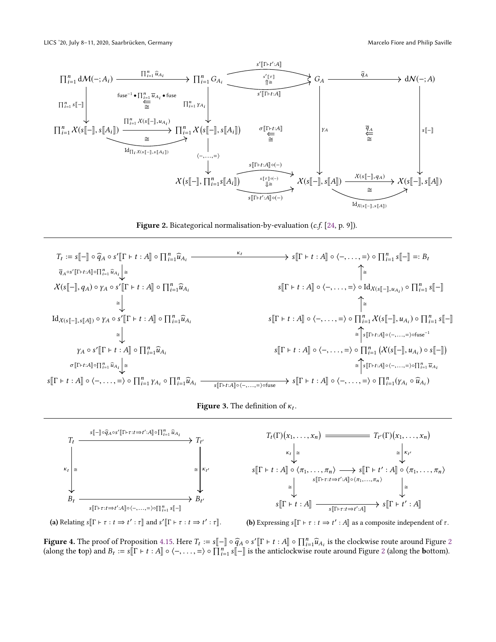<span id="page-11-0"></span>

Figure 2. Bicategorical normalisation-by-evaluation (c.f. [\[24,](#page-13-17) p. 9]).

<span id="page-11-2"></span>



<span id="page-11-1"></span>



(a) Relating  $s[\![\Gamma \vdash \tau : t \Rightarrow t' : \tau]\!]$  and  $s'[\![\Gamma \vdash \tau : t \Rightarrow t' : \tau]\!]$ . (b) Expressing  $s[\![\Gamma \vdash \tau : t \Rightarrow t' : A]\!]$  as a composite independent of  $\tau$ .

**Figure 4.** The proof of Proposition [4.15.](#page-12-0) Here  $T_t := s[-\] \circ \widehat{q}_A \circ s'[\Gamma \vdash t : A] \circ \prod_{i=1}^n \widehat{u}_{A_i}$  is the clockwise route around Figure [2](#page-11-0) (along the bottom) (along the top) and  $B_t := s[\![\Gamma \vdash t : A]\!] \circ \langle -, \ldots, = \rangle \circ \prod_{i=1}^n s[\![-]\!]$  is the anticlockwise route around Figure [2](#page-11-0) (along the bottom).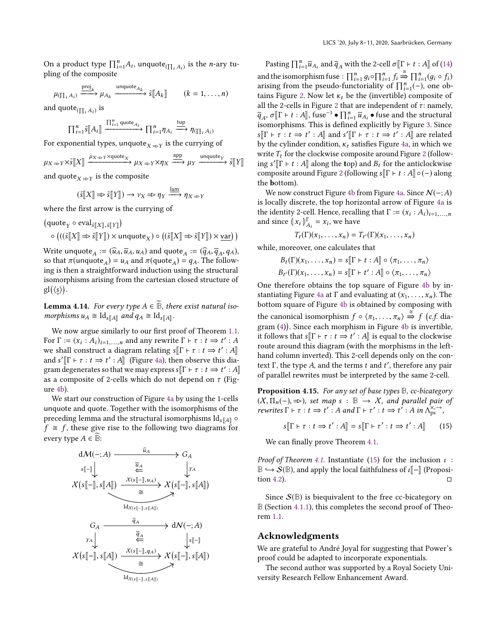On a product type  $\prod_{i=1}^{n} A_i$ , unquote  $\prod_{i} A_i$  is the *n*-ary tupling of the composite

$$
\mu_{(\prod_i A_i)} \xrightarrow{\text{proj}_k} \mu_{A_k} \xrightarrow{\text{unquote}_{A_k}} \tilde{s}[[A_k]] \qquad (k = 1, \dots, n)
$$

and  $\mathsf{quote}_{(\prod_i A_i)}$  is

$$
\prod_{i=1}^n \tilde{s}[A_i] \xrightarrow{\prod_{i=1}^n \text{quote}_{A_i}} \prod_{i=1}^n \eta_{A_i} \xrightarrow{\text{typ}} \eta_{(\prod_i A_i)}
$$

For exponential types, unquote $_{X\Rightarrow Y}$  is the currying of

$$
\mu_X \Rightarrow_Y \times \tilde{\mathfrak{s}}[X] \xrightarrow{\mu_X \Rightarrow_Y \times \text{quote}_X} \mu_X \Rightarrow_Y \times \eta_X \xrightarrow{\text{app}} \mu_Y \xrightarrow{\text{unquote}_Y} \tilde{\mathfrak{s}}[Y]
$$

and quote $_{X\Rightarrow Y}$  is the composite

$$
(\tilde{s}\llbracket X \rrbracket \Rightarrow \tilde{s}\llbracket Y \rrbracket) \to \nu_X \Rightarrow \eta_Y \xrightarrow{\text{lam}} \eta_{X \Rightarrow Y}
$$

where the first arrow is the currying of

 $(\mathsf{quote}_Y \circ \mathsf{eval}_{\tilde{s}\llbracket X \rrbracket, \tilde{s}\llbracket Y \rrbracket})$ 

$$
\circ ((\tilde{s}[[X]] \Rightarrow \tilde{s}[[Y]]) \times \text{unquote}_X) \circ ((\tilde{s}[[X]] \Rightarrow \tilde{s}[[Y]]) \times \underline{\text{var}})
$$

Write unquote  $A := (\widehat{u}_A, \overline{u}_A, u_A)$  and quote  $A := (\widehat{q}_A, \overline{q}_A, q_A)$ ,<br>so that  $\pi(\text{unquote}_A) = u_A$  and  $\pi(\text{quote}_A) = a_A$ . The followso that  $\pi(\text{unquote}_A) = u_A$  and  $\pi(\text{quote}_A) = q_A$ . The follow-<br>ing is then a straightforward induction using the structural ing is then a straightforward induction using the structural isomorphisms arising from the cartesian closed structure of  $gl(\langle \underline{s} \rangle).$ 

**Lemma 4.14.** For every type  $A \in \mathbb{B}$ , there exist natural isomorphisms  $u_A \cong \mathrm{Id}_{s[[A]]}$  and  $q_A \cong \mathrm{Id}_{s[[A]]}$ .

We now argue similarly to our first proof of Theorem [1.1.](#page-1-0) For  $\Gamma := (x_i : A_i)_{i=1,...,n}$  and any rewrite  $\Gamma \vdash \tau : t \Rightarrow t' : A$ <br>we shall construct a diagram relating  $s[\Gamma \vdash \tau : t \rightarrow t' : A]$ we shall construct a diagram relating  $s[\Gamma \vdash \tau : t \Rightarrow t': A]$ <br>and  $s'[\Gamma \vdash \tau : t \Rightarrow t': A]$  (Figure 4a) then observe this dia. and  $s'[ \Gamma \vdash \tau : t \Rightarrow t' : A ]$  (Figure [4a\)](#page-11-1), then observe this dia-<br>gram degenerates so that we may express  $s[\Gamma \vdash \tau : t \rightarrow t' : A ]$ gram degenerates so that we may express  $s[[\Gamma \vdash \tau : t \Rightarrow t' : A]]$ <br>as a composite of 2-cells which do not depend on  $\tau$  (Fig. as a composite of 2-cells which do not depend on  $\tau$  (Figure [4b\)](#page-11-1).

We start our construction of Figure [4a](#page-11-1) by using the 1-cells unquote and quote. Together with the isomorphisms of the preceding lemma and the structural isomorphisms  $\text{Id}_{s[\![A]\!]}$   $\circ$  $f \cong f$ , these give rise to the following two diagrams for every type  $A \in \overline{\mathbb{B}}$ :



Pasting  $\prod_{i=1}^{n} \overline{u}_{A_i}$  and  $\overline{q}_A$  with the 2-cell  $\sigma \llbracket \Gamma \vdash t : A \rrbracket$  of [\(14\)](#page-10-5) and the isomorphism fuse :  $\prod_{i=1}^{n} g_i \circ \prod_{i=1}^{n} f_i \stackrel{\cong}{\Rightarrow} \prod_{i=1}^{n} (g_i \circ f_i)$ <br>arising from the pseudo-functoriality of  $\Pi^n$  (-) one oband the isomorphism ruse :  $\prod_{i=1} g_i \circ \prod_{i=1} j_i \Rightarrow \prod_{i=1} (g_i \circ j_i)$ <br>arising from the pseudo-functoriality of  $\prod_{i=1}^n (-)$ , one obarising from the pseudo-functorianty of  $\prod_{i=1}(-)$ , one obtains Figure [2.](#page-11-0) Now let  $\kappa_t$  be the (invertible) composite of all the 2-cells in Figure 2 that are independent of  $\tau$ ; namely all the [2](#page-11-0)-cells in Figure 2 that are independent of  $\tau$ : namely,  $q_A$ ,  $o_{\parallel}$   $\vdash$   $\iota$  .  $A_{\parallel}$ , tuse  $\bullet$   $\prod_{i=1}^{\infty} u_{A_i}$   $\bullet$  ruse and the structural isomorphisms. This is defined explicitly by Figure [3.](#page-11-2) Since ,  $\sigma[\Gamma \vdash t : A],$  fuse<sup>-1</sup>  $\bullet \prod_{i=1}^{n} \overline{u}_{A_i} \bullet$  fuse and the structural incredibility to  $\Gamma$  fusure 3. Since  $s[\Gamma \vdash \tau : t \Rightarrow t' : A]$  and  $s'[\Gamma \vdash \tau : t \Rightarrow t' : A]$  are related<br>by the cylinder condition  $\kappa$ , satisfies Figure 42 in which we by the cylinder condition,  $\kappa_t$  satisfies Figure [4a,](#page-11-1) in which we write  $T_t$  for the clockwise composite around Figure [2](#page-11-0) (following s'[ $\Gamma$  ⊢  $t : A$ ] along the top) and  $B_t$  for the anticlockwise<br>composite around Figure 2 (following s[ $\Gamma$  +  $t : A$ ] o(-) along composite around Figure [2](#page-11-0) (following  $s$  $\Gamma$  ⊢  $t : A$  $\circ$   $\circ$   $\circ$  along the bottom).

We now construct Figure [4b](#page-11-1) from Figure [4a.](#page-11-1) Since  $\mathcal{N}(-;A)$ is locally discrete, the top horizontal arrow of Figure [4a](#page-11-1) is the identity 2-cell. Hence, recalling that  $\Gamma := (x_i : A_i)_{i=1,...,n}$ <br>and since  $\int_{-\infty}^{\infty} |x_i - x_j| \, dx$  we have and since  $(x_i)_{A_i}^{\Gamma} = x_i$ , we have

$$
T_t(\Gamma)(x_1,\ldots,x_n)=T_{t'}(\Gamma)(x_1,\ldots,x_n)
$$

while, moreover, one calculates that

$$
B_t(\Gamma)(x_1, \dots, x_n) = s[\![\Gamma + t : A]\!] \circ \langle \pi_1, \dots, \pi_n \rangle
$$
  

$$
B_{t'}(\Gamma)(x_1, \dots, x_n) = s[\![\Gamma + t' : A]\!] \circ \langle \pi_1, \dots, \pi_n \rangle
$$

One therefore obtains the top square of Figure [4b](#page-11-1) by in-stantiating Figure [4a](#page-11-1) at Γ and evaluating at  $(x_1, \ldots, x_n)$ . The bottom square of Figure [4b](#page-11-1) is obtained by composing with the canonical isomorphism  $f \circ \langle \pi_1, \ldots, \pi_n \rangle \stackrel{\cong}{\Rightarrow} f(c.f.$  dia-<br>
gram (4)). Since each morphism in Figure 4b is invertible. gram [\(4\)](#page-5-2) . Since each morphism in Figure [4b](#page-11-1) is invertible, it follows that  $s[\![\Gamma \vdash \tau : t \Rightarrow t' : A]\!]$  is equal to the clockwise<br>route around this diagram (with the mornhisms in the left. route around this diagram (with the morphisms in the lefthand column inverted). This 2-cell depends only on the context Γ, the type A, and the terms t and t', therefore any pair<br>of parallel rewrites must be interpreted by the same 2-cell of parallel rewrites must be interpreted by the same 2-cell.

<span id="page-12-0"></span>Proposition 4.15. For any set of base types **B**, cc-bicategory  $(X, \Pi_n(-), \Rightarrow)$ , set map s :  $\mathbb{B} \to X$ , and parallel pair of rewrites  $\Gamma \vdash \tau : t \Rightarrow t' : A \text{ and } \Gamma \vdash \tau' : t \Rightarrow t' : A \text{ in } \Lambda_{\text{ps}}^{\times, \rightarrow},$ 

<span id="page-12-1"></span>
$$
s[\![\Gamma \vdash \tau : t \Rightarrow t' : A]\!] = s[\![\Gamma \vdash \tau' : t \Rightarrow t' : A]\!] \tag{15}
$$

We can finally prove Theorem [4.1.](#page-6-3)

*Proof of Theorem [4.1.](#page-6-3)* Instantiate [\(15\)](#page-12-1) for the inclusion  $\iota$  : **B**  $\rightarrow$  S(**B**), and apply the local faithfulness of *ι*[ $\equiv$ <sup>[</sup>] (Proposition 4.2).  $\Box$ tion [4.2\)](#page-6-4).  $\Box$ 

Since  $S(\mathbb{B})$  is biequivalent to the free cc-bicategory on **B** (Section [4.1.1\)](#page-6-1), this completes the second proof of Theorem [1.1.](#page-1-0)

## Acknowledgments

We are grateful to André Joyal for suggesting that Power's proof could be adapted to incorporate exponentials.

The second author was supported by a Royal Society University Research Fellow Enhancement Award.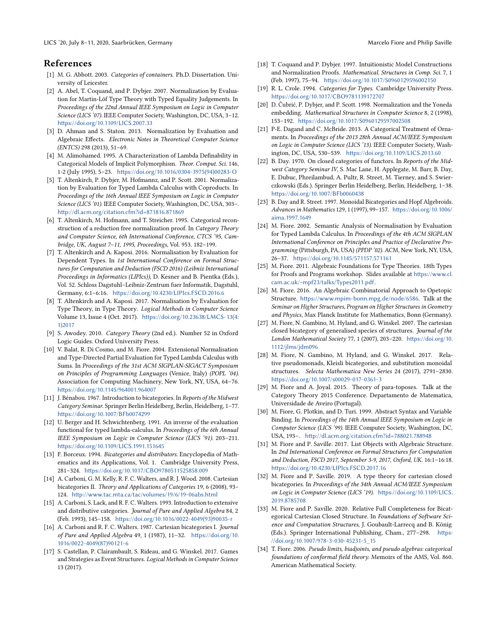LICS '20, July 8–11, 2020, Saarbrücken, Germany Marcelo Fiore and Philip Saville

# References

- <span id="page-13-2"></span>[1] M. G. Abbott. 2003. Categories of containers. Ph.D. Dissertation. University of Leicester.
- <span id="page-13-10"></span>[2] A. Abel, T. Coquand, and P. Dybjer. 2007. Normalization by Evaluation for Martin-Löf Type Theory with Typed Equality Judgements. In Proceedings of the 22nd Annual IEEE Symposium on Logic in Computer Science (LICS '07). IEEE Computer Society, Washington, DC, USA, 3–12. <https://doi.org/10.1109/LICS.2007.33>
- <span id="page-13-29"></span>[3] D. Ahman and S. Staton. 2013. Normalization by Evaluation and Algebraic Effects. Electronic Notes in Theoretical Computer Science (ENTCS) 298 (2013), 51–69.
- <span id="page-13-33"></span>[4] M. Alimohamed. 1995. A Characterization of Lambda Definability in Categorical Models of Implicit Polymorphism. Theor. Comput. Sci. 146, 1-2 (July 1995), 5–23. [https://doi.org/10.1016/0304-3975\(94\)00283-O](https://doi.org/10.1016/0304-3975(94)00283-O)
- <span id="page-13-11"></span>[5] T. Altenkirch, P. Dybjer, M. Hofmannz, and P. Scott. 2001. Normalization by Evaluation for Typed Lambda Calculus with Coproducts. In Proceedings of the 16th Annual IEEE Symposium on Logic in Computer Science (LICS '01). IEEE Computer Society, Washington, DC, USA, 303–. <http://dl.acm.org/citation.cfm?id=871816.871869>
- <span id="page-13-14"></span>[6] T. Altenkirch, M. Hofmann, and T. Streicher. 1995. Categorical reconstruction of a reduction free normalization proof. In Category Theory and Computer Science, 6th International Conference, CTCS '95, Cambridge, UK, August 7–11, 1995, Proceedings, Vol. 953. 182–199.
- <span id="page-13-12"></span>[7] T. Altenkirch and A. Kaposi. 2016. Normalisation by Evaluation for Dependent Types. In 1st International Conference on Formal Structures for Computation and Deduction (FSCD 2016) (Leibniz International Proceedings in Informatics (LIPIcs)), D. Kesner and B. Pientka (Eds.), Vol. 52. Schloss Dagstuhl–Leibniz-Zentrum fuer Informatik, Dagstuhl, Germany, 6:1–6:16. <https://doi.org/10.4230/LIPIcs.FSCD.2016.6>
- <span id="page-13-13"></span>[8] T. Altenkirch and A. Kaposi. 2017. Normalisation by Evaluation for Type Theory, in Type Theory. Logical Methods in Computer Science Volume 13, Issue 4 (Oct. 2017). [https://doi.org/10.23638/LMCS-13\(4:](https://doi.org/10.23638/LMCS-13(4:1)2017) [1\)2017](https://doi.org/10.23638/LMCS-13(4:1)2017)
- <span id="page-13-26"></span>[9] S. Awodey. 2010. Category Theory (2nd ed.). Number 52 in Oxford Logic Guides. Oxford University Press.
- <span id="page-13-30"></span>[10] V. Balat, R. Di Cosmo, and M. Fiore. 2004. Extensional Normalisation and Type-Directed Partial Evaluation for Typed Lambda Calculus with Sums. In Proceedings of the 31st ACM SIGPLAN-SIGACT Symposium on Principles of Programming Languages (Venice, Italy) (POPL '04). Association for Computing Machinery, New York, NY, USA, 64–76. <https://doi.org/10.1145/964001.964007>
- <span id="page-13-0"></span>[11] J. Bénabou. 1967. Introduction to bicategories. In Reports of the Midwest Category Seminar. Springer Berlin Heidelberg, Berlin, Heidelberg, 1–77. <https://doi.org/10.1007/BFb0074299>
- <span id="page-13-9"></span>[12] U. Berger and H. Schwichtenberg. 1991. An inverse of the evaluation functional for typed lambda-calculus. In Proceedings of the 6th Annual IEEE Symposium on Logic in Computer Science (LICS '91). 203–211. <https://doi.org/10.1109/LICS.1991.151645>
- <span id="page-13-21"></span>[13] F. Borceux. 1994. Bicategories and distributors. Encyclopedia of Mathematics and its Applications, Vol. 1. Cambridge University Press, 281–324. <https://doi.org/10.1017/CBO9780511525858.009>
- <span id="page-13-23"></span>[14] A. Carboni, G. M. Kelly, R. F. C. Walters, and R. J. Wood. 2008. Cartesian bicategories II. Theory and Applications of Categories 19, 6 (2008), 93– 124. <http://www.tac.mta.ca/tac/volumes/19/6/19-06abs.html>
- <span id="page-13-25"></span>[15] A. Carboni, S. Lack, and R. F. C. Walters. 1993. Introduction to extensive and distributive categories. Journal of Pure and Applied Algebra 84, 2 (Feb. 1993), 145–158. [https://doi.org/10.1016/0022-4049\(93\)90035-r](https://doi.org/10.1016/0022-4049(93)90035-r)
- <span id="page-13-24"></span>[16] A. Carboni and R. F. C. Walters. 1987. Cartesian bicategories I. Journal of Pure and Applied Algebra 49, 1 (1987), 11–32. [https://doi.org/10.](https://doi.org/10.1016/0022-4049(87)90121-6) [1016/0022-4049\(87\)90121-6](https://doi.org/10.1016/0022-4049(87)90121-6)
- <span id="page-13-1"></span>[17] S. Castellan, P. Clairambault, S. Rideau, and G. Winskel. 2017. Games and Strategies as Event Structures. Logical Methods in Computer Science 13 (2017).
- 
- <span id="page-13-15"></span>[18] T. Coquand and P. Dybjer. 1997. Intuitionistic Model Constructions and Normalization Proofs. Mathematical. Structures in Comp. Sci. 7, 1 (Feb. 1997), 75–94. <https://doi.org/10.1017/S0960129596002150>
- <span id="page-13-32"></span>[19] R. L. Crole. 1994. Categories for Types. Cambridge University Press. <https://doi.org/10.1017/CBO9781139172707>
- <span id="page-13-16"></span>[20] D. Čubrić, P. Dybjer, and P. Scott. 1998. Normalization and the Yoneda embedding. Mathematical Structures in Computer Science 8, 2 (1998), 153–192. <https://doi.org/10.1017/S0960129597002508>
- <span id="page-13-3"></span>[21] P-E. Dagand and C. McBride. 2013. A Categorical Treatment of Ornaments. In Proceedings of the 2013 28th Annual ACM/IEEE Symposium on Logic in Computer Science (LICS '13). IEEE Computer Society, Washington, DC, USA, 530–539. <https://doi.org/10.1109/LICS.2013.60>
- <span id="page-13-27"></span>[22] B. Day. 1970. On closed categories of functors. In Reports of the Midwest Category Seminar IV, S. Mac Lane, H. Applegate, M. Barr, B. Day, E. Dubuc, Phreilambud, A. Pultr, R. Street, M. Tierney, and S. Swierczkowski (Eds.). Springer Berlin Heidelberg, Berlin, Heidelberg, 1–38. <https://doi.org/10.1007/BFb0060438>
- <span id="page-13-7"></span>[23] B. Day and R. Street. 1997. Monoidal Bicategories and Hopf Algebroids. Advances in Mathematics 129, 1 (1997), 99–157. [https://doi.org/10.1006/](https://doi.org/10.1006/aima.1997.1649) [aima.1997.1649](https://doi.org/10.1006/aima.1997.1649)
- <span id="page-13-17"></span>[24] M. Fiore. 2002. Semantic Analysis of Normalisation by Evaluation for Typed Lambda Calculus. In Proceedings of the 4th ACM SIGPLAN International Conference on Principles and Practice of Declarative Programming (Pittsburgh, PA, USA) (PPDP '02). ACM, New York, NY, USA, 26–37. <https://doi.org/10.1145/571157.571161>
- <span id="page-13-31"></span>[25] M. Fiore. 2011. Algebraic Foundations for Type Theories. 18th Types for Proofs and Programs workshop. Slides available at [https://www.cl.](https://www.cl.cam.ac.uk/~mpf23/talks/Types2011.pdf) [cam.ac.uk/~mpf23/talks/Types2011.pdf](https://www.cl.cam.ac.uk/~mpf23/talks/Types2011.pdf).
- <span id="page-13-19"></span>[26] M. Fiore. 2016. An Algebraic Combinatorial Approach to Opetopic Structure. <https://www.mpim-bonn.mpg.de/node/6586>. Talk at the Seminar on Higher Structures, Program on Higher Structures in Geometry and Physics, Max Planck Institute for Mathematics, Bonn (Germany).
- <span id="page-13-4"></span>[27] M. Fiore, N. Gambino, M. Hyland, and G. Winskel. 2007. The cartesian closed bicategory of generalised species of structures. Journal of the London Mathematical Society 77, 1 (2007), 203–220. [https://doi.org/10.](https://doi.org/10.1112/jlms/jdm096) [1112/jlms/jdm096](https://doi.org/10.1112/jlms/jdm096)
- <span id="page-13-5"></span>[28] M. Fiore, N. Gambino, M. Hyland, and G. Winskel. 2017. Relative pseudomonads, Kleisli bicategories, and substitution monoidal structures. Selecta Mathematica New Series 24 (2017), 2791–2830. <https://doi.org/10.1007/s00029-017-0361-3>
- <span id="page-13-6"></span>[29] M. Fiore and A. Joyal. 2015. Theory of para-toposes. Talk at the Category Theory 2015 Conference. Departamento de Matematica, Universidade de Aveiro (Portugal).
- <span id="page-13-28"></span>[30] M. Fiore, G. Plotkin, and D. Turi. 1999. Abstract Syntax and Variable Binding. In Proceedings of the 14th Annual IEEE Symposium on Logic in Computer Science (LICS '99). IEEE Computer Society, Washington, DC, USA, 193–. <http://dl.acm.org/citation.cfm?id=788021.788948>
- <span id="page-13-18"></span>[31] M. Fiore and P. Saville. 2017. List Objects with Algebraic Structure. In 2nd International Conference on Formal Structures for Computation and Deduction, FSCD 2017, September 3-9, 2017, Oxford, UK. 16:1–16:18. <https://doi.org/10.4230/LIPIcs.FSCD.2017.16>
- <span id="page-13-8"></span>[32] M. Fiore and P. Saville. 2019. A type theory for cartesian closed bicategories. In Proceedings of the 34th Annual ACM/IEEE Symposium on Logic in Computer Science (LICS '19). [https://doi.org/10.1109/LICS.](https://doi.org/10.1109/LICS.2019.8785708) [2019.8785708](https://doi.org/10.1109/LICS.2019.8785708)
- <span id="page-13-20"></span>[33] M. Fiore and P. Saville. 2020. Relative Full Completeness for Bicategorical Cartesian Closed Structure. In Foundations of Software Science and Computation Structures, J. Goubault-Larrecq and B. König (Eds.). Springer International Publishing, Cham., 277–298. [https:](https://doi.org/10.1007/978-3-030-45231-5_15) [//doi.org/10.1007/978-3-030-45231-5\\_15](https://doi.org/10.1007/978-3-030-45231-5_15)
- <span id="page-13-22"></span>[34] T. Fiore. 2006. Pseudo limits, biadjoints, and pseudo algebras: categorical foundations of conformal field theory. Memoirs of the AMS, Vol. 860. American Mathematical Society.